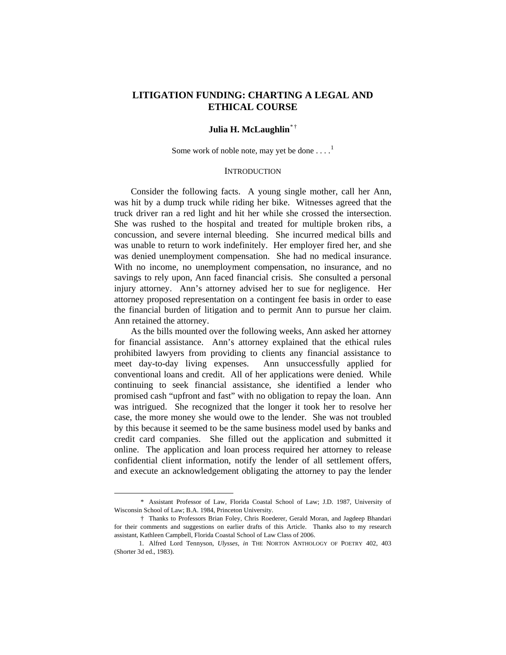# **LITIGATION FUNDING: CHARTING A LEGAL AND ETHICAL COURSE**

# **Julia H. McLaughlin**[\\* †](#page-0-0)

Some work of noble note, may yet be done  $\dots$ .<sup>[1](#page-0-1)</sup>

## **INTRODUCTION**

 Consider the following facts. A young single mother, call her Ann, was hit by a dump truck while riding her bike. Witnesses agreed that the truck driver ran a red light and hit her while she crossed the intersection. She was rushed to the hospital and treated for multiple broken ribs, a concussion, and severe internal bleeding. She incurred medical bills and was unable to return to work indefinitely. Her employer fired her, and she was denied unemployment compensation. She had no medical insurance. With no income, no unemployment compensation, no insurance, and no savings to rely upon, Ann faced financial crisis. She consulted a personal injury attorney. Ann's attorney advised her to sue for negligence. Her attorney proposed representation on a contingent fee basis in order to ease the financial burden of litigation and to permit Ann to pursue her claim. Ann retained the attorney.

 As the bills mounted over the following weeks, Ann asked her attorney for financial assistance. Ann's attorney explained that the ethical rules prohibited lawyers from providing to clients any financial assistance to meet day-to-day living expenses. Ann unsuccessfully applied for conventional loans and credit. All of her applications were denied. While continuing to seek financial assistance, she identified a lender who promised cash "upfront and fast" with no obligation to repay the loan. Ann was intrigued. She recognized that the longer it took her to resolve her case, the more money she would owe to the lender. She was not troubled by this because it seemed to be the same business model used by banks and credit card companies. She filled out the application and submitted it online. The application and loan process required her attorney to release confidential client information, notify the lender of all settlement offers, and execute an acknowledgement obligating the attorney to pay the lender

<span id="page-0-0"></span> <sup>\*</sup> Assistant Professor of Law, Florida Coastal School of Law; J.D. 1987, University of Wisconsin School of Law; B.A. 1984, Princeton University.

 <sup>†</sup> Thanks to Professors Brian Foley, Chris Roederer, Gerald Moran, and Jagdeep Bhandari for their comments and suggestions on earlier drafts of this Article. Thanks also to my research assistant, Kathleen Campbell, Florida Coastal School of Law Class of 2006.

<span id="page-0-1"></span> <sup>1.</sup> Alfred Lord Tennyson, *Ulysses*, *in* THE NORTON ANTHOLOGY OF POETRY 402, 403 (Shorter 3d ed., 1983).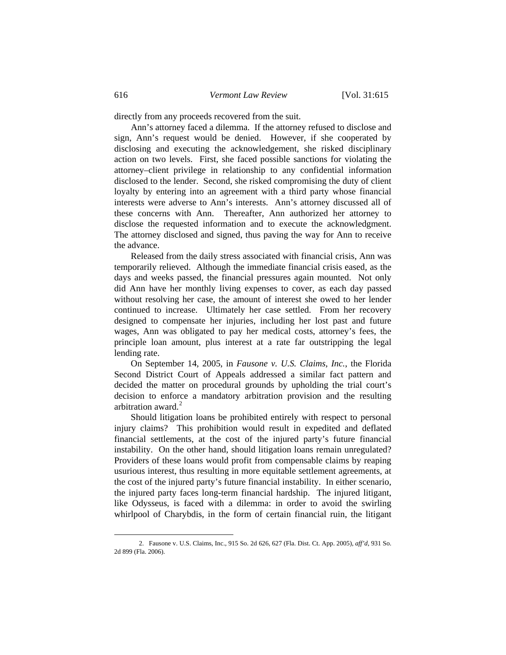directly from any proceeds recovered from the suit.

 Ann's attorney faced a dilemma. If the attorney refused to disclose and sign, Ann's request would be denied. However, if she cooperated by disclosing and executing the acknowledgement, she risked disciplinary action on two levels. First, she faced possible sanctions for violating the attorney–client privilege in relationship to any confidential information disclosed to the lender. Second, she risked compromising the duty of client loyalty by entering into an agreement with a third party whose financial interests were adverse to Ann's interests. Ann's attorney discussed all of these concerns with Ann. Thereafter, Ann authorized her attorney to disclose the requested information and to execute the acknowledgment. The attorney disclosed and signed, thus paving the way for Ann to receive the advance.

 Released from the daily stress associated with financial crisis, Ann was temporarily relieved. Although the immediate financial crisis eased, as the days and weeks passed, the financial pressures again mounted. Not only did Ann have her monthly living expenses to cover, as each day passed without resolving her case, the amount of interest she owed to her lender continued to increase. Ultimately her case settled. From her recovery designed to compensate her injuries, including her lost past and future wages, Ann was obligated to pay her medical costs, attorney's fees, the principle loan amount, plus interest at a rate far outstripping the legal lending rate.

 On September 14, 2005, in *Fausone v. U.S. Claims, Inc.*, the Florida Second District Court of Appeals addressed a similar fact pattern and decided the matter on procedural grounds by upholding the trial court's decision to enforce a mandatory arbitration provision and the resulting arbitration award.<sup>[2](#page-1-0)</sup>

 Should litigation loans be prohibited entirely with respect to personal injury claims? This prohibition would result in expedited and deflated financial settlements, at the cost of the injured party's future financial instability. On the other hand, should litigation loans remain unregulated? Providers of these loans would profit from compensable claims by reaping usurious interest, thus resulting in more equitable settlement agreements, at the cost of the injured party's future financial instability. In either scenario, the injured party faces long-term financial hardship. The injured litigant, like Odysseus, is faced with a dilemma: in order to avoid the swirling whirlpool of Charybdis, in the form of certain financial ruin, the litigant

<span id="page-1-0"></span> <sup>2.</sup> Fausone v. U.S. Claims, Inc., 915 So. 2d 626, 627 (Fla. Dist. Ct. App. 2005), *aff'd*, 931 So. 2d 899 (Fla. 2006).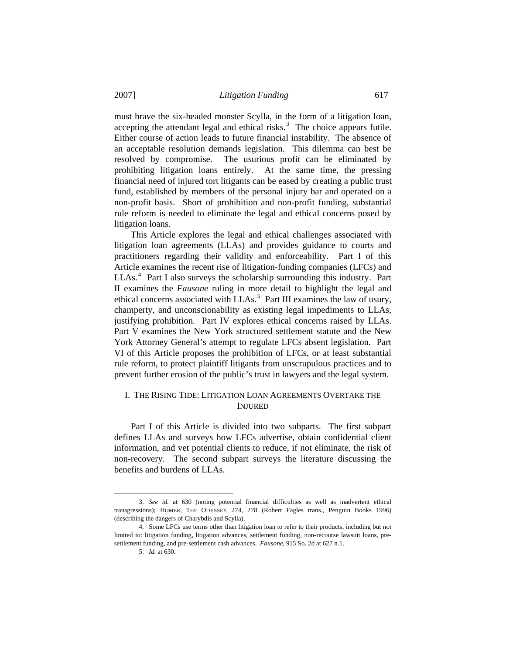must brave the six-headed monster Scylla, in the form of a litigation loan, accepting the attendant legal and ethical risks.<sup>[3](#page-2-0)</sup> The choice appears futile. Either course of action leads to future financial instability. The absence of an acceptable resolution demands legislation. This dilemma can best be resolved by compromise. The usurious profit can be eliminated by prohibiting litigation loans entirely. At the same time, the pressing financial need of injured tort litigants can be eased by creating a public trust fund, established by members of the personal injury bar and operated on a non-profit basis. Short of prohibition and non-profit funding, substantial rule reform is needed to eliminate the legal and ethical concerns posed by litigation loans.

 This Article explores the legal and ethical challenges associated with litigation loan agreements (LLAs) and provides guidance to courts and practitioners regarding their validity and enforceability. Part I of this Article examines the recent rise of litigation-funding companies (LFCs) and LLAs.<sup>[4](#page-2-1)</sup> Part I also surveys the scholarship surrounding this industry. Part II examines the *Fausone* ruling in more detail to highlight the legal and ethical concerns associated with LLAs.<sup>[5](#page-2-2)</sup> Part III examines the law of usury, champerty, and unconscionability as existing legal impediments to LLAs, justifying prohibition. Part IV explores ethical concerns raised by LLAs. Part V examines the New York structured settlement statute and the New York Attorney General's attempt to regulate LFCs absent legislation. Part VI of this Article proposes the prohibition of LFCs, or at least substantial rule reform, to protect plaintiff litigants from unscrupulous practices and to prevent further erosion of the public's trust in lawyers and the legal system.

# I. THE RISING TIDE: LITIGATION LOAN AGREEMENTS OVERTAKE THE INJURED

 Part I of this Article is divided into two subparts. The first subpart defines LLAs and surveys how LFCs advertise, obtain confidential client information, and vet potential clients to reduce, if not eliminate, the risk of non-recovery. The second subpart surveys the literature discussing the benefits and burdens of LLAs.

<span id="page-2-0"></span> <sup>3.</sup> *See id.* at 630 (noting potential financial difficulties as well as inadvertent ethical transgressions); HOMER, THE ODYSSEY 274, 278 (Robert Fagles trans., Penguin Books 1996) (describing the dangers of Charybdis and Scylla).

<span id="page-2-2"></span><span id="page-2-1"></span> <sup>4.</sup> Some LFCs use terms other than litigation loan to refer to their products, including but not limited to: litigation funding, litigation advances, settlement funding, non-recourse lawsuit loans, presettlement funding, and pre-settlement cash advances. *Fausone*, 915 So. 2d at 627 n.1.

 <sup>5.</sup> *Id.* at 630.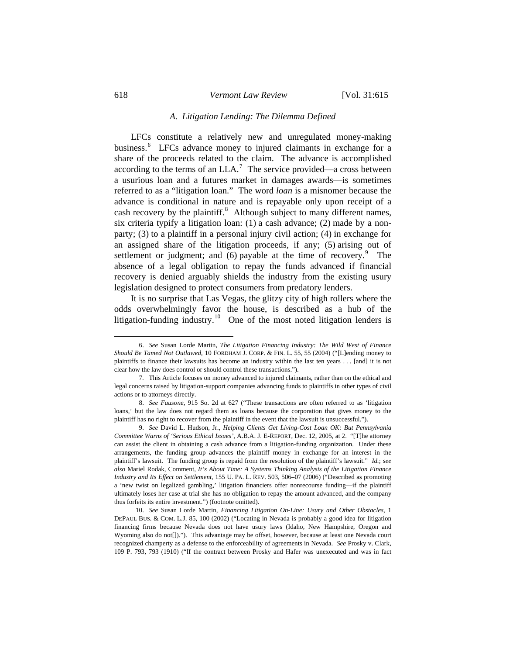#### *A. Litigation Lending: The Dilemma Defined*

 LFCs constitute a relatively new and unregulated money-making business.<sup>[6](#page-3-0)</sup> LFCs advance money to injured claimants in exchange for a share of the proceeds related to the claim. The advance is accomplished according to the terms of an  $LLA$ <sup>[7](#page-3-1)</sup>. The service provided—a cross between a usurious loan and a futures market in damages awards—is sometimes referred to as a "litigation loan." The word *loan* is a misnomer because the advance is conditional in nature and is repayable only upon receipt of a cash recovery by the plaintiff.<sup>[8](#page-3-2)</sup> Although subject to many different names, six criteria typify a litigation loan: (1) a cash advance; (2) made by a nonparty; (3) to a plaintiff in a personal injury civil action; (4) in exchange for an assigned share of the litigation proceeds, if any; (5) arising out of settlement or judgment; and  $(6)$  payable at the time of recovery.<sup>[9](#page-3-3)</sup> The absence of a legal obligation to repay the funds advanced if financial recovery is denied arguably shields the industry from the existing usury legislation designed to protect consumers from predatory lenders.

 It is no surprise that Las Vegas, the glitzy city of high rollers where the odds overwhelmingly favor the house, is described as a hub of the litigation-funding industry.<sup>[10](#page-3-4)</sup> One of the most noted litigation lenders is

<span id="page-3-0"></span> <sup>6.</sup> *See* Susan Lorde Martin, *The Litigation Financing Industry: The Wild West of Finance Should Be Tamed Not Outlawed*, 10 FORDHAM J. CORP. & FIN. L. 55, 55 (2004) ("[L]ending money to plaintiffs to finance their lawsuits has become an industry within the last ten years . . . [and] it is not clear how the law does control or should control these transactions.").

<span id="page-3-1"></span> <sup>7.</sup> This Article focuses on money advanced to injured claimants, rather than on the ethical and legal concerns raised by litigation-support companies advancing funds to plaintiffs in other types of civil actions or to attorneys directly.

<span id="page-3-2"></span> <sup>8.</sup> *See Fausone*, 915 So. 2d at 627 ("These transactions are often referred to as 'litigation loans,' but the law does not regard them as loans because the corporation that gives money to the plaintiff has no right to recover from the plaintiff in the event that the lawsuit is unsuccessful.").

<span id="page-3-3"></span> <sup>9.</sup> *See* David L. Hudson, Jr., *Helping Clients Get Living-Cost Loan OK: But Pennsylvania Committee Warns of 'Serious Ethical Issues'*, A.B.A. J. E-REPORT, Dec. 12, 2005, at 2. "[T]he attorney can assist the client in obtaining a cash advance from a litigation-funding organization. Under these arrangements, the funding group advances the plaintiff money in exchange for an interest in the plaintiff's lawsuit. The funding group is repaid from the resolution of the plaintiff's lawsuit." *Id.*; *see also* Mariel Rodak, Comment, *It's About Time: A Systems Thinking Analysis of the Litigation Finance Industry and Its Effect on Settlement*, 155 U. PA. L. REV. 503, 506–07 (2006) ("Described as promoting a 'new twist on legalized gambling,' litigation financiers offer nonrecourse funding—if the plaintiff ultimately loses her case at trial she has no obligation to repay the amount advanced, and the company thus forfeits its entire investment.") (footnote omitted).

<span id="page-3-4"></span> <sup>10.</sup> *See* Susan Lorde Martin, *Financing Litigation On-Line: Usury and Other Obstacles*, 1 DEPAUL BUS. & COM. L.J. 85, 100 (2002) ("Locating in Nevada is probably a good idea for litigation financing firms because Nevada does not have usury laws (Idaho, New Hampshire, Oregon and Wyoming also do not[])."). This advantage may be offset, however, because at least one Nevada court recognized champerty as a defense to the enforceability of agreements in Nevada. *See* Prosky v. Clark, 109 P. 793, 793 (1910) ("If the contract between Prosky and Hafer was unexecuted and was in fact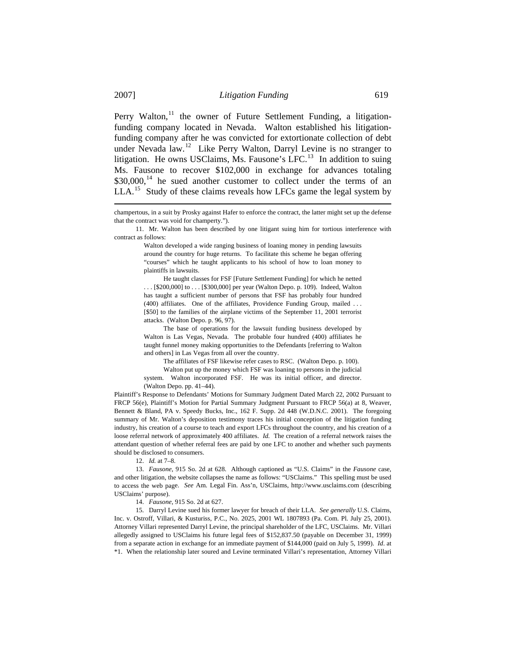$LLA<sup>15</sup>$  Study of these claims reveals how LFCs game the legal system by Perry Walton, $^{11}$  $^{11}$  $^{11}$  the owner of Future Settlement Funding, a litigationfunding company located in Nevada. Walton established his litigationfunding company after he was convicted for extortionate collection of debt under Nevada law.<sup>[12](#page-4-1)</sup> Like Perry Walton, Darryl Levine is no stranger to litigation. He owns USClaims, Ms. Fausone's LFC.<sup>[13](#page-4-2)</sup> In addition to suing Ms. Fausone to recover \$102,000 in exchange for advances totaling  $$30,000$ ,<sup>[14](#page-4-3)</sup> he sued another customer to collect under the terms of an

"courses" which he taught applicants to his school of how to loan money to Walton developed a wide ranging business of loaning money in pending lawsuits around the country for huge returns. To facilitate this scheme he began offering plaintiffs in lawsuits.

 $[$50]$  to the families of the airplane victims of the September 11, 2001 terrorist attacks. (Walton Depo. p. 96, 97). He taught classes for FSF [Future Settlement Funding] for which he netted . . . [\$200,000] to . . . [\$300,000] per year (Walton Depo. p. 109). Indeed, Walton has taught a sufficient number of persons that FSF has probably four hundred (400) affiliates. One of the affiliates, Providence Funding Group, mailed . . .

taught funnel money making opportunities to the Defendants [referring to Walton The base of operations for the lawsuit funding business developed by Walton is Las Vegas, Nevada. The probable four hundred (400) affiliates he and others] in Las Vegas from all over the country.

The affiliates of FSF likewise refer cases to RSC. (Walton Depo. p. 100).

system. Walton incorporated FSF. He was its initial officer, and director. Walton put up the money which FSF was loaning to persons in the judicial (Walton Depo. pp. 41–44).

attendant question of whether referral fees are paid by one LFC to another and whether such payments should be disclosed to consumers. Plaintiff's Response to Defendants' Motions for Summary Judgment Dated March 22, 2002 Pursuant to FRCP 56(e), Plaintiff's Motion for Partial Summary Judgment Pursuant to FRCP 56(a) at 8, Weaver, Bennett & Bland, PA v. Speedy Bucks, Inc., 162 F. Supp. 2d 448 (W.D.N.C. 2001). The foregoing summary of Mr. Walton's deposition testimony traces his initial conception of the litigation funding industry, his creation of a course to teach and export LFCs throughout the country, and his creation of a loose referral network of approximately 400 affiliates. *Id.* The creation of a referral network raises the

12. *Id.* at 7–8.

<span id="page-4-2"></span><span id="page-4-1"></span>to access the web page. See Am. Legal Fin. Ass'n, USClaims, http://www.usclaims.com (describing 13. *Fausone*, 915 So. 2d at 628. Although captioned as "U.S. Claims" in the *Fausone* case, and other litigation, the website collapses the name as follows: "USClaims." This spelling must be used USClaims' purpose).

14. *Fausone*, 915 So. 2d at 627.

<span id="page-4-3"></span> 15. Darryl Levine sued his former lawyer for breach of their LLA. *See generally* U.S. Claims, Inc. v. Ostroff, Villari, & Kusturiss, P.C., No. 2025, 2001 WL 1807893 (Pa. Com. Pl. July 25, 2001). Attorney Villari represented Darryl Levine, the principal shareholder of the LFC, USClaims. Mr. Villari allegedly assigned to USClaims his future legal fees of \$152,837.50 (payable on December 31, 1999) from a separate action in exchange for an immediate payment of \$144,000 (paid on July 5, 1999). *Id*. at \*1. When the relationship later soured and Levine terminated Villari's representation, Attorney Villari

<span id="page-4-0"></span>champertous, in a suit by Prosky against Hafer to enforce the contract, the latter might set up the defense that the contract was void for champerty.").

<sup>11.</sup> Mr. Walton has been described by one litigant suing him for tortious interference with contract as follows: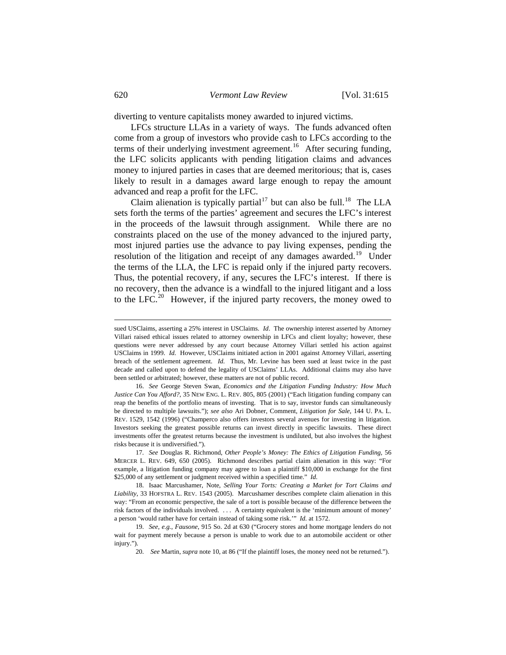diverting to venture capitalists money awarded to injured victims.

LFCs structure LLAs in a variety of ways. The funds advanced often come from a group of investors who provide cash to LFCs according to the terms of their underlying investment agreement.<sup>[16](#page-5-0)</sup> After securing funding, the LFC solicits applicants with pending litigation claims and advances money to injured parties in cases that are deemed meritorious; that is, cases likely to result in a damages award large enough to repay the amount advanced and reap a profit for the LFC.

Claim alienation is typically partial<sup>17</sup> [but can also be full.](#page-5-0)<sup>18</sup> The LLA sets forth the terms of the parties' agreement and secures the LFC's interest in the proceeds of the lawsuit through assignment. While there are no constraints placed on the use of the money advanced to the injured party, most injured parties use the advance to pay living expenses, pending the resolution of the litigation and receipt of any damages awarded.<sup>[19](#page-5-1)</sup> Under the terms of the LLA, the LFC is repaid only if the injured party recovers. Thus, the potential recovery, if any, secures the LFC's interest. If there is no recovery, then the advance is a windfall to the injured litigant and a loss to the LFC.<sup>[20](#page-5-2)</sup> However, if the injured party recovers, the money owed to

sued USClaims, asserting a 25% interest in USClaims. *Id*. The ownership interest asserted by Attorney Villari raised ethical issues related to attorney ownership in LFCs and client loyalty; however, these questions were never addressed by any court because Attorney Villari settled his action against USClaims in 1999. *Id.* However, USClaims initiated action in 2001 against Attorney Villari, asserting breach of the settlement agreement. *Id.* Thus, Mr. Levine has been sued at least twice in the past decade and called upon to defend the legality of USClaims' LLAs. Additional claims may also have been settled or arbitrated; however, these matters are not of public record.

<span id="page-5-0"></span> <sup>16.</sup> *See* George Steven Swan, *Economics and the Litigation Funding Industry: How Much Justice Can You Afford?*, 35 NEW ENG. L. REV. 805, 805 (2001) ("Each litigation funding company can reap the benefits of the portfolio means of investing. That is to say, investor funds can simultaneously be directed to multiple lawsuits."); *see also* Ari Dobner, Comment, *Litigation for Sale*, 144 U. PA. L. REV. 1529, 1542 (1996) ("Champerco also offers investors several avenues for investing in litigation. Investors seeking the greatest possible returns can invest directly in specific lawsuits. These direct investments offer the greatest returns because the investment is undiluted, but also involves the highest risks because it is undiversified.").

<span id="page-5-1"></span> <sup>17.</sup> *See* Douglas R. Richmond, *Other People's Money: The Ethics of Litigation Funding*, 56 MERCER L. REV. 649, 650 (2005). Richmond describes partial claim alienation in this way: "For example, a litigation funding company may agree to loan a plaintiff \$10,000 in exchange for the first \$25,000 of any settlement or judgment received within a specified time." *Id.*

<span id="page-5-2"></span> <sup>18.</sup> Isaac Marcushamer, Note, *Selling Your Torts: Creating a Market for Tort Claims and Liability*, 33 HOFSTRA L. REV. 1543 (2005). Marcushamer describes complete claim alienation in this way: "From an economic perspective, the sale of a tort is possible because of the difference between the risk factors of the individuals involved. . . . A certainty equivalent is the 'minimum amount of money' a person 'would rather have for certain instead of taking some risk.'" *Id.* at 1572.

<span id="page-5-3"></span> <sup>19.</sup> *See, e.g.*, *Fausone*, 915 So. 2d at 630 ("Grocery stores and home mortgage lenders do not wait for payment merely because a person is unable to work due to an automobile accident or other injury.").

 <sup>20.</sup> *See* Martin, *supra* note 10, at 86 ("If the plaintiff loses, the money need not be returned.").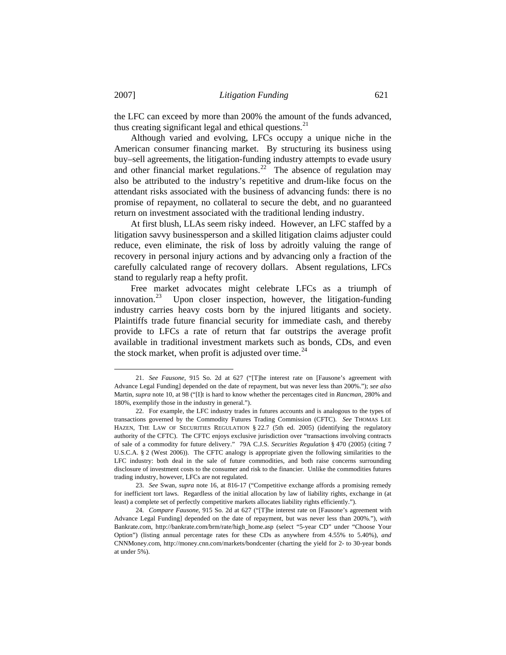the LFC can exceed by more than 200% the amount of the funds advanced, thus creating significant legal and ethical questions.<sup>[21](#page-5-3)</sup>

 Although varied and evolving, LFCs occupy a unique niche in the American consumer financing market. By structuring its business using buy–sell agreements, the litigation-funding industry attempts to evade usury and other financial market regulations.<sup>[22](#page-6-0)</sup> The absence of regulation may also be attributed to the industry's repetitive and drum-like focus on the attendant risks associated with the business of advancing funds: there is no promise of repayment, no collateral to secure the debt, and no guaranteed return on investment associated with the traditional lending industry.

 At first blush, LLAs seem risky indeed. However, an LFC staffed by a litigation savvy businessperson and a skilled litigation claims adjuster could reduce, even eliminate, the risk of loss by adroitly valuing the range of recovery in personal injury actions and by advancing only a fraction of the carefully calculated range of recovery dollars. Absent regulations, LFCs stand to regularly reap a hefty profit.

 Free market advocates might celebrate LFCs as a triumph of innovation.<sup>[23](#page-6-1)</sup> Upon closer inspection, however, the litigation-funding industry carries heavy costs born by the injured litigants and society. Plaintiffs trade future financial security for immediate cash, and thereby provide to LFCs a rate of return that far outstrips the average profit available in traditional investment markets such as bonds, CDs, and even the stock market, when profit is adjusted over time.<sup>[24](#page-6-2)</sup>

 <sup>21.</sup> *See Fausone*, 915 So. 2d at 627 ("[T]he interest rate on [Fausone's agreement with Advance Legal Funding] depended on the date of repayment, but was never less than 200%."); *see also*  Martin, *supra* note 10, at 98 ("[I]t is hard to know whether the percentages cited in *Rancman*, 280% and 180%, exemplify those in the industry in general.").

<span id="page-6-0"></span> <sup>22.</sup> For example, the LFC industry trades in futures accounts and is analogous to the types of transactions governed by the Commodity Futures Trading Commission (CFTC). *See* THOMAS LEE HAZEN, THE LAW OF SECURITIES REGULATION § 22.7 (5th ed. 2005) (identifying the regulatory authority of the CFTC). The CFTC enjoys exclusive jurisdiction over "transactions involving contracts of sale of a commodity for future delivery." 79A C.J.S. *Securities Regulation* § 470 (2005) (citing 7 U.S.C.A. § 2 (West 2006)). The CFTC analogy is appropriate given the following similarities to the LFC industry: both deal in the sale of future commodities, and both raise concerns surrounding disclosure of investment costs to the consumer and risk to the financier. Unlike the commodities futures trading industry, however, LFCs are not regulated.

<span id="page-6-1"></span> <sup>23.</sup> *See* Swan, *supra* note 16, at 816-17 ("Competitive exchange affords a promising remedy for inefficient tort laws. Regardless of the initial allocation by law of liability rights, exchange in (at least) a complete set of perfectly competitive markets allocates liability rights efficiently.").

<span id="page-6-2"></span> <sup>24.</sup> *Compare Fausone*, 915 So. 2d at 627 ("[T]he interest rate on [Fausone's agreement with Advance Legal Funding] depended on the date of repayment, but was never less than 200%."), *with*  Bankrate.com, [http://bankrate.com/brm/rate/high\\_home.asp](http://bankrate.com/brm/rate/high_home.asp) (select "5-year CD" under "Choose Your Option") (listing annual percentage rates for these CDs as anywhere from 4.55% to 5.40%), *and*  CNNMoney.com, <http://money.cnn.com/markets/bondcenter>(charting the yield for 2- to 30-year bonds at under 5%).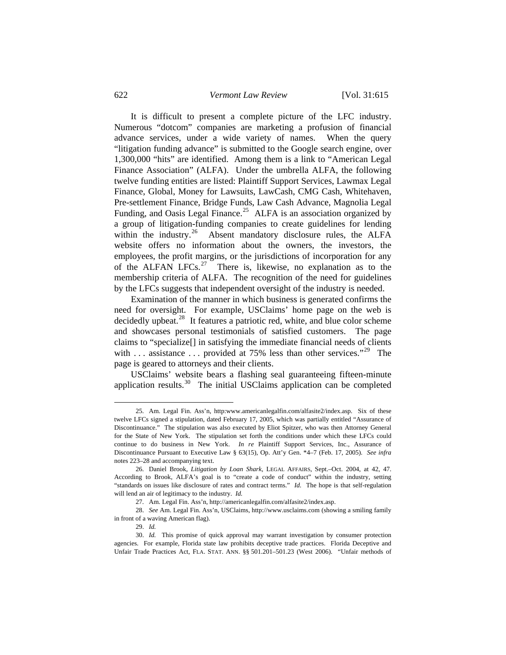It is difficult to present a complete picture of the LFC industry. Numerous "dotcom" companies are marketing a profusion of financial advance services, under a wide variety of names. When the query "litigation funding advance" is submitted to the Google search engine, over 1,300,000 "hits" are identified. Among them is a link to "American Legal Finance Association" (ALFA). Under the umbrella ALFA, the following twelve funding entities are listed: Plaintiff Support Services, Lawmax Legal Finance, Global, Money for Lawsuits, LawCash, CMG Cash, Whitehaven, Pre-settlement Finance, Bridge Funds, Law Cash Advance, Magnolia Legal Funding, and Oasis Legal Finance.<sup>[25](#page-7-0)</sup> ALFA is an association organized by a group of litigation-funding companies to create guidelines for lending within the industry.<sup>[26](#page-7-1)</sup> Absent mandatory disclosure rules, the ALFA website offers no information about the owners, the investors, the employees, the profit margins, or the jurisdictions of incorporation for any of the ALFAN LFCs.<sup>[27](#page-7-2)</sup> There is, likewise, no explanation as to the membership criteria of ALFA. The recognition of the need for guidelines by the LFCs suggests that independent oversight of the industry is needed.

 Examination of the manner in which business is generated confirms the need for oversight. For example, USClaims' home page on the web is decidedly upbeat.<sup>[28](#page-7-3)</sup> It features a patriotic red, white, and blue color scheme and showcases personal testimonials of satisfied customers. The page claims to "specialize[] in satisfying the immediate financial needs of clients with ... assistance ... provided at 75% less than other services."<sup>[29](#page-7-4)</sup> The page is geared to attorneys and their clients.

 USClaims' website bears a flashing seal guaranteeing fifteen-minute application results. $30$  The initial USClaims application can be completed

<span id="page-7-0"></span> <sup>25.</sup> Am. Legal Fin. Ass'n, http:www.americanlegalfin.com/alfasite2/index.asp. Six of these twelve LFCs signed a stipulation, dated February 17, 2005, which was partially entitled "Assurance of Discontinuance." The stipulation was also executed by Eliot Spitzer, who was then Attorney General for the State of New York. The stipulation set forth the conditions under which these LFCs could continue to do business in New York. *In re* Plaintiff Support Services, Inc., Assurance of Discontinuance Pursuant to Executive Law § 63(15), Op. Att'y Gen. \*4–7 (Feb. 17, 2005). *See infra* notes 223–28 and accompanying text.

<span id="page-7-1"></span> <sup>26.</sup> Daniel Brook, *Litigation by Loan Shark*, LEGAL AFFAIRS, Sept.–Oct. 2004, at 42, 47. According to Brook, ALFA's goal is to "create a code of conduct" within the industry, setting "standards on issues like disclosure of rates and contract terms." *Id.* The hope is that self-regulation will lend an air of legitimacy to the industry. *Id.* 

 <sup>27.</sup> Am. Legal Fin. Ass'n, http://americanlegalfin.com/alfasite2/index.asp.

<span id="page-7-3"></span><span id="page-7-2"></span> <sup>28.</sup> *See* Am. Legal Fin. Ass'n, USClaims, http://www.usclaims.com (showing a smiling family in front of a waving American flag).

 <sup>29.</sup> *Id.*

<span id="page-7-5"></span><span id="page-7-4"></span> <sup>30.</sup> *Id.* This promise of quick approval may warrant investigation by consumer protection agencies. For example, Florida state law prohibits deceptive trade practices. Florida Deceptive and Unfair Trade Practices Act, FLA. STAT. ANN. §§ 501.201–501.23 (West 2006). "Unfair methods of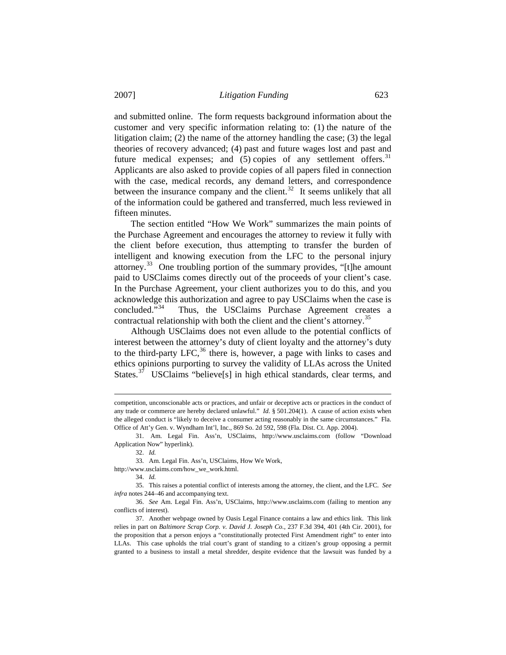and submitted online. The form requests background information about the customer and very specific information relating to: (1) the nature of the litigation claim; (2) the name of the attorney handling the case; (3) the legal theories of recovery advanced; (4) past and future wages lost and past and future medical expenses; and  $(5)$  copies of any settlement offers.<sup>[31](#page-8-0)</sup> Applicants are also asked to provide copies of all papers filed in connection with the case, medical records, any demand letters, and correspondence between the insurance company and the client.<sup>[32](#page-8-1)</sup> It seems unlikely that all of the information could be gathered and transferred, much less reviewed in fifteen minutes.

 The section entitled "How We Work" summarizes the main points of the Purchase Agreement and encourages the attorney to review it fully with the client before execution, thus attempting to transfer the burden of intelligent and knowing execution from the LFC to the personal injury attorney.<sup>[33](#page-8-2)</sup> One troubling portion of the summary provides, "[t]he amount paid to USClaims comes directly out of the proceeds of your client's case. In the Purchase Agreement, your client authorizes you to do this, and you acknowledge this authorization and agree to pay USClaims when the case is concluded."<sup>34</sup> Thus, the USClaims Purchase Agreement creates a Thus, the USClaims Purchase Agreement creates a contractual relationship with both the client and the client's attorney.<sup>[35](#page-8-4)</sup>

 Although USClaims does not even allude to the potential conflicts of interest between the attorney's duty of client loyalty and the attorney's duty to the third-party LFC, $36$  there is, however, a page with links to cases and ethics opinions purporting to survey the validity of LLAs across the United States.<sup>[37](#page-8-6)</sup> USClaims "believe<sup>[s]</sup> in high ethical standards, clear terms, and

l

<span id="page-8-3"></span><span id="page-8-2"></span>[http://www.usclaims.com/how\\_we\\_work.html.](http://www.usclaims.com/how_we_work.html)

competition, unconscionable acts or practices, and unfair or deceptive acts or practices in the conduct of any trade or commerce are hereby declared unlawful." *Id.* § 501.204(1). A cause of action exists when the alleged conduct is "likely to deceive a consumer acting reasonably in the same circumstances."Fla. Office of Att'y Gen. v. Wyndham Int'l, Inc., 869 So. 2d 592, 598 (Fla. Dist. Ct. App. 2004).

<span id="page-8-1"></span><span id="page-8-0"></span> <sup>31.</sup> Am. Legal Fin. Ass'n, USClaims, [http://www.usclaims.com](http://www.usclaims.com/) (follow "Download Application Now" hyperlink).

 <sup>32.</sup> *Id.*

 <sup>33.</sup> Am. Legal Fin. Ass'n, USClaims, How We Work,

 <sup>34.</sup> *Id.*

<span id="page-8-4"></span> <sup>35.</sup> This raises a potential conflict of interests among the attorney, the client, and the LFC. *See infra* notes 244–46 and accompanying text.

<span id="page-8-5"></span> <sup>36.</sup> *See* Am. Legal Fin. Ass'n, USClaims, [http://www.usclaims.com](http://www.usclaims.com/) (failing to mention any conflicts of interest).

<span id="page-8-6"></span> <sup>37.</sup> Another webpage owned by Oasis Legal Finance contains a law and ethics link. This link relies in part on *Baltimore Scrap Corp. v. David J. Joseph Co.*, 237 F.3d 394, 401 (4th Cir. 2001), for the proposition that a person enjoys a "constitutionally protected First Amendment right" to enter into LLAs. This case upholds the trial court's grant of standing to a citizen's group opposing a permit granted to a business to install a metal shredder, despite evidence that the lawsuit was funded by a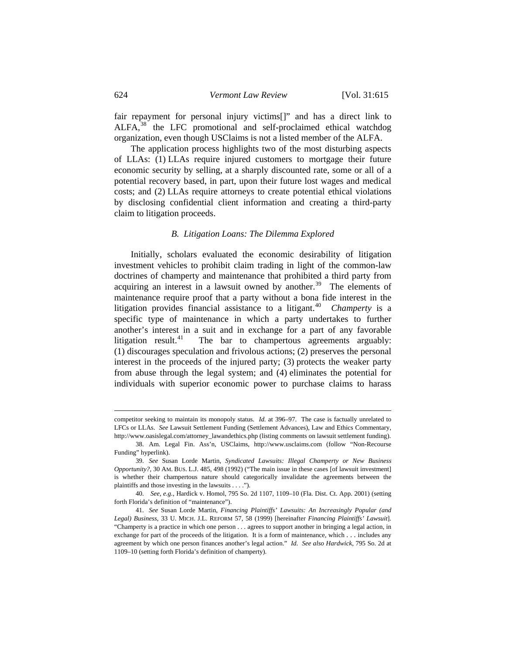fair repayment for personal injury victims[]" and has a direct link to ALFA,<sup>[38](#page-9-0)</sup> the LFC promotional and self-proclaimed ethical watchdog organization, even though USClaims is not a listed member of the ALFA.

 The application process highlights two of the most disturbing aspects of LLAs: (1) LLAs require injured customers to mortgage their future economic security by selling, at a sharply discounted rate, some or all of a potential recovery based, in part, upon their future lost wages and medical costs; and (2) LLAs require attorneys to create potential ethical violations by disclosing confidential client information and creating a third-party claim to litigation proceeds.

## *B. Litigation Loans: The Dilemma Explored*

 Initially, scholars evaluated the economic desirability of litigation investment vehicles to prohibit claim trading in light of the common-law doctrines of champerty and maintenance that prohibited a third party from acquiring an interest in a lawsuit owned by another.<sup>[39](#page-9-1)</sup> The elements of maintenance require proof that a party without a bona fide interest in the litigation provides financial assistance to a litigant.<sup>[40](#page-9-2)</sup> *Champerty* is a specific type of maintenance in which a party undertakes to further another's interest in a suit and in exchange for a part of any favorable litigation result.<sup>[41](#page-9-3)</sup> The bar to champertous agreements arguably: (1) discourages speculation and frivolous actions; (2) preserves the personal interest in the proceeds of the injured party; (3) protects the weaker party from abuse through the legal system; and (4) eliminates the potential for individuals with superior economic power to purchase claims to harass

competitor seeking to maintain its monopoly status. *Id.* at 396–97. The case is factually unrelated to LFCs or LLAs. *See* Lawsuit Settlement Funding (Settlement Advances), Law and Ethics Commentary, http:/[/www.oasislegal.com/attorney\\_lawa](http://www.oasislegal.com/attorney_law)ndethics.php (listing comments on lawsuit settlement funding).

<span id="page-9-0"></span> <sup>38.</sup> Am. Legal Fin. Ass'n, USClaims, [http://www.usclaims.com](http://www.usclaims.com/) (follow "Non-Recourse Funding" hyperlink).

<span id="page-9-1"></span> <sup>39.</sup> *See* Susan Lorde Martin, *Syndicated Lawsuits: Illegal Champerty or New Business Opportunity?*, 30 AM. BUS. L.J. 485, 498 (1992) ("The main issue in these cases [of lawsuit investment] is whether their champertous nature should categorically invalidate the agreements between the plaintiffs and those investing in the lawsuits . . . .").

<span id="page-9-2"></span> <sup>40.</sup> *See, e.g.*, Hardick v. Homol, 795 So. 2d 1107, 1109–10 (Fla. Dist. Ct. App. 2001) (setting forth Florida's definition of "maintenance").

<span id="page-9-3"></span> <sup>41.</sup> *See* Susan Lorde Martin, *Financing Plaintiffs' Lawsuits: An Increasingly Popular (and Legal) Business*, 33 U. MICH. J.L. REFORM 57, 58 (1999) [hereinafter *Financing Plaintiffs' Lawsuit*]. "Champerty is a practice in which one person . . . agrees to support another in bringing a legal action, in exchange for part of the proceeds of the litigation. It is a form of maintenance, which . . . includes any agreement by which one person finances another's legal action." *Id. See also Hardwick*, 795 So. 2d at 1109–10 (setting forth Florida's definition of champerty).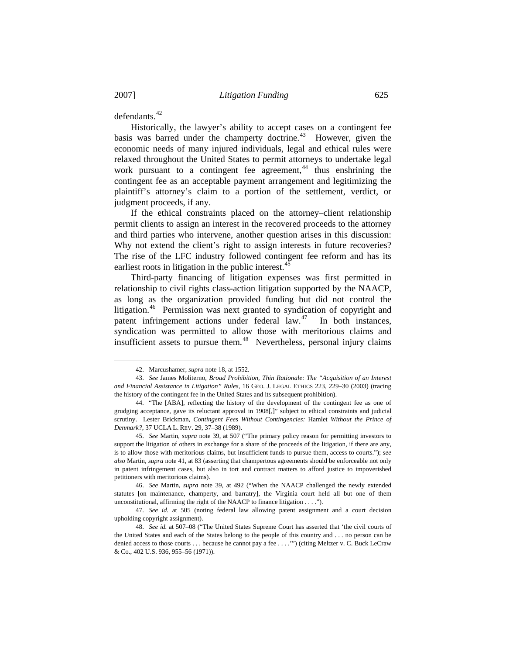l

defendants<sup>[42](#page-10-0)</sup>

 Historically, the lawyer's ability to accept cases on a contingent fee basis was barred under the champerty doctrine.<sup>[43](#page-10-1)</sup> However, given the economic needs of many injured individuals, legal and ethical rules were relaxed throughout the United States to permit attorneys to undertake legal work pursuant to a contingent fee agreement, $44$  thus enshrining the contingent fee as an acceptable payment arrangement and legitimizing the plaintiff's attorney's claim to a portion of the settlement, verdict, or judgment proceeds, if any.

 If the ethical constraints placed on the attorney–client relationship permit clients to assign an interest in the recovered proceeds to the attorney and third parties who intervene, another question arises in this discussion: Why not extend the client's right to assign interests in future recoveries? The rise of the LFC industry followed contingent fee reform and has its earliest roots in litigation in the public interest. $45$ 

 Third-party financing of litigation expenses was first permitted in relationship to civil rights class-action litigation supported by the NAACP, as long as the organization provided funding but did not control the litigation.<sup>[46](#page-10-4)</sup> Permission was next granted to syndication of copyright and patent infringement actions under federal  $law<sup>47</sup>$  $law<sup>47</sup>$  $law<sup>47</sup>$  In both instances, syndication was permitted to allow those with meritorious claims and insufficient assets to pursue them. $48$  Nevertheless, personal injury claims

 <sup>42.</sup> Marcushamer, *supra* note 18, at 1552.

<span id="page-10-1"></span><span id="page-10-0"></span> <sup>43.</sup> *See* James Moliterno, *Broad Prohibition, Thin Rationale: The "Acquisition of an Interest and Financial Assistance in Litigation" Rules*, 16 GEO. J. LEGAL ETHICS 223, 229–30 (2003) (tracing the history of the contingent fee in the United States and its subsequent prohibition).

<span id="page-10-2"></span> <sup>44. &</sup>quot;The [ABA], reflecting the history of the development of the contingent fee as one of grudging acceptance, gave its reluctant approval in 1908[,]" subject to ethical constraints and judicial scrutiny. Lester Brickman, *Contingent Fees Without Contingencies:* Hamlet *Without the Prince of Denmark?*, 37 UCLA L. REV. 29, 37–38 (1989).

<span id="page-10-3"></span> <sup>45.</sup> *See* Martin, *supra* note 39, at 507 ("The primary policy reason for permitting investors to support the litigation of others in exchange for a share of the proceeds of the litigation, if there are any, is to allow those with meritorious claims, but insufficient funds to pursue them, access to courts."); *see also* Martin, *supra* note 41, at 83 (asserting that champertous agreements should be enforceable not only in patent infringement cases, but also in tort and contract matters to afford justice to impoverished petitioners with meritorious claims).

<span id="page-10-4"></span> <sup>46.</sup> *See* Martin, *supra* note 39, at 492 ("When the NAACP challenged the newly extended statutes [on maintenance, champerty, and barratry], the Virginia court held all but one of them unconstitutional, affirming the right of the NAACP to finance litigation . . . .").

<span id="page-10-5"></span> <sup>47.</sup> *See id.* at 505 (noting federal law allowing patent assignment and a court decision upholding copyright assignment).

<span id="page-10-6"></span> <sup>48.</sup> *See id.* at 507–08 ("The United States Supreme Court has asserted that 'the civil courts of the United States and each of the States belong to the people of this country and . . . no person can be denied access to those courts . . . because he cannot pay a fee . . . .'") (citing Meltzer v. C. Buck LeCraw & Co., 402 U.S. 936, 955–56 (1971)).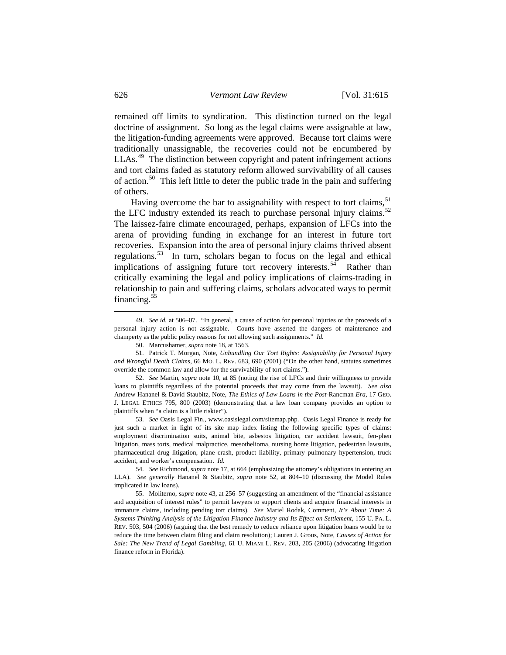remained off limits to syndication. This distinction turned on the legal doctrine of assignment. So long as the legal claims were assignable at law, the litigation-funding agreements were approved. Because tort claims were traditionally unassignable, the recoveries could not be encumbered by LLAs.<sup>[49](#page-11-0)</sup> The distinction between copyright and patent infringement actions and tort claims faded as statutory reform allowed survivability of all causes of action.<sup>[50](#page-11-1)</sup> This left little to deter the public trade in the pain and suffering of others.

Having overcome the bar to assignability with respect to tort claims,  $51$ the LFC industry extended its reach to purchase personal injury claims.<sup>[52](#page-11-3)</sup> The laissez-faire climate encouraged, perhaps, expansion of LFCs into the arena of providing funding in exchange for an interest in future tort recoveries. Expansion into the area of personal injury claims thrived absent regulations.[53](#page-11-4) In turn, scholars began to focus on the legal and ethical implications of assigning future tort recovery interests.<sup>[54](#page-11-5)</sup> Rather than critically examining the legal and policy implications of claims-trading in relationship to pain and suffering claims, scholars advocated ways to permit financing. $55$ 

<span id="page-11-4"></span> 53. *See* Oasis Legal Fin., [www.oasislegal.com/sitemap.php](http://www.oasislegal.com/sitemap.php). Oasis Legal Finance is ready for just such a market in light of its site map index listing the following specific types of claims: employment discrimination suits, animal bite, asbestos litigation, car accident lawsuit, fen-phen litigation, mass torts, medical malpractice, mesothelioma, nursing home litigation, pedestrian lawsuits, pharmaceutical drug litigation, plane crash, product liability, primary pulmonary hypertension, truck accident, and worker's compensation. *Id.*

<span id="page-11-0"></span><sup>49.</sup> *See id.* at 506–07. "In general, a cause of action for personal injuries or the proceeds of a personal injury action is not assignable. Courts have asserted the dangers of maintenance and champerty as the public policy reasons for not allowing such assignments." *Id.* 

 <sup>50.</sup> Marcushamer, *supra* note 18, at 1563.

<span id="page-11-2"></span><span id="page-11-1"></span> <sup>51.</sup> Patrick T. Morgan, Note, *Unbundling Our Tort Rights: Assignability for Personal Injury and Wrongful Death Claims*, 66 MO. L. REV. 683, 690 (2001) ("On the other hand, statutes sometimes override the common law and allow for the survivability of tort claims.").

<span id="page-11-3"></span> <sup>52.</sup> *See* Martin, *supra* note 10, at 85 (noting the rise of LFCs and their willingness to provide loans to plaintiffs regardless of the potential proceeds that may come from the lawsuit). *See also*  Andrew Hananel & David Staubitz, Note, *The Ethics of Law Loans in the Post-*Rancman *Era*, 17 GEO. J. LEGAL ETHICS 795, 800 (2003) (demonstrating that a law loan company provides an option to plaintiffs when "a claim is a little riskier").

<span id="page-11-5"></span> <sup>54.</sup> *See* Richmond, *supra* note 17, at 664 (emphasizing the attorney's obligations in entering an LLA). *See generally* Hananel & Staubitz, *supra* note 52, at 804–10 (discussing the Model Rules implicated in law loans).

<span id="page-11-6"></span> <sup>55.</sup> Moliterno, *supra* note 43, at 256–57 (suggesting an amendment of the "financial assistance and acquisition of interest rules" to permit lawyers to support clients and acquire financial interests in immature claims, including pending tort claims). *See* Mariel Rodak, Comment, *It's About Time: A Systems Thinking Analysis of the Litigation Finance Industry and Its Effect on Settlement*, 155 U. PA. L. REV. 503, 504 (2006) (arguing that the best remedy to reduce reliance upon litigation loans would be to reduce the time between claim filing and claim resolution); Lauren J. Grous, Note, *Causes of Action for Sale: The New Trend of Legal Gambling*, 61 U. MIAMI L. REV. 203, 205 (2006) (advocating litigation finance reform in Florida).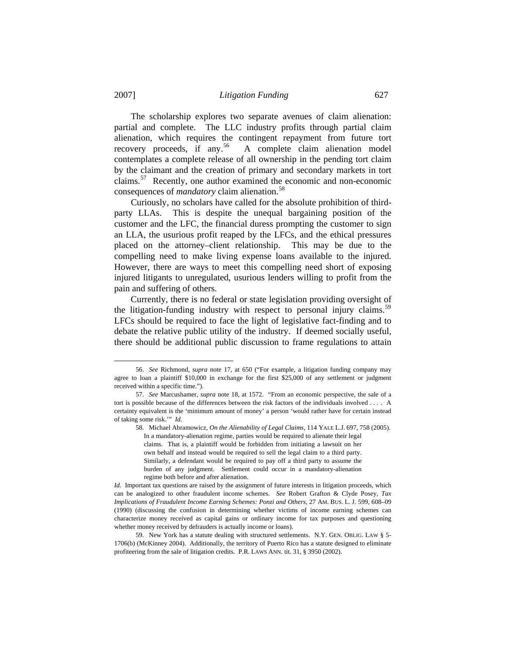The scholarship explores two separate avenues of claim alienation: partial and complete. The LLC industry profits through partial claim alienation, which requires the contingent repayment from future tort recovery proceeds, if any.<sup>[56](#page-12-0)</sup> A complete claim alienation model contemplates a complete release of all ownership in the pending tort claim by the claimant and the creation of primary and secondary markets in tort claims.[57](#page-12-1) Recently, one author examined the economic and non-economic consequences of *mandatory* claim alienation.[58](#page-12-2)

 Curiously, no scholars have called for the absolute prohibition of thirdparty LLAs. This is despite the unequal bargaining position of the customer and the LFC, the financial duress prompting the customer to sign an LLA, the usurious profit reaped by the LFCs, and the ethical pressures placed on the attorney–client relationship. This may be due to the compelling need to make living expense loans available to the injured. However, there are ways to meet this compelling need short of exposing injured litigants to unregulated, usurious lenders willing to profit from the pain and suffering of others.

 Currently, there is no federal or state legislation providing oversight of the litigation-funding industry with respect to personal injury claims.<sup>[59](#page-12-3)</sup> LFCs should be required to face the light of legislative fact-finding and to debate the relative public utility of the industry. If deemed socially useful, there should be additional public discussion to frame regulations to attain

<span id="page-12-0"></span> <sup>56.</sup> *See* Richmond, *supra* note 17, at 650 ("For example, a litigation funding company may agree to loan a plaintiff \$10,000 in exchange for the first \$25,000 of any settlement or judgment received within a specific time.").

<span id="page-12-2"></span><span id="page-12-1"></span> <sup>57.</sup> *See* Marcushamer, *supra* note 18, at 1572. "From an economic perspective, the sale of a tort is possible because of the differences between the risk factors of the individuals involved . . . . A certainty equivalent is the 'minimum amount of money' a person 'would rather have for certain instead of taking some risk.'" *Id.*

 <sup>58.</sup> Michael Abramowicz, *On the Alienability of Legal Claims*, 114 YALE L.J. 697, 758 (2005). In a mandatory-alienation regime, parties would be required to alienate their legal claims. That is, a plaintiff would be forbidden from initiating a lawsuit on her own behalf and instead would be required to sell the legal claim to a third party. Similarly, a defendant would be required to pay off a third party to assume the burden of any judgment. Settlement could occur in a mandatory-alienation regime both before and after alienation.

*Id.* Important tax questions are raised by the assignment of future interests in litigation proceeds, which can be analogized to other fraudulent income schemes. *See* Robert Grafton & Clyde Posey, *Tax Implications of Fraudulent Income Earning Schemes: Ponzi and Others*, 27 AM. BUS. L. J. 599, 608–09 (1990) (discussing the confusion in determining whether victims of income earning schemes can characterize money received as capital gains or ordinary income for tax purposes and questioning whether money received by defrauders is actually income or loans).

<span id="page-12-3"></span> <sup>59.</sup> New York has a statute dealing with structured settlements. N.Y. GEN. OBLIG. LAW § 5- 1706(b) (McKinney 2004). Additionally, the territory of Puerto Rico has a statute designed to eliminate profiteering from the sale of litigation credits. P.R. LAWS ANN. tit. 31, § 3950 (2002).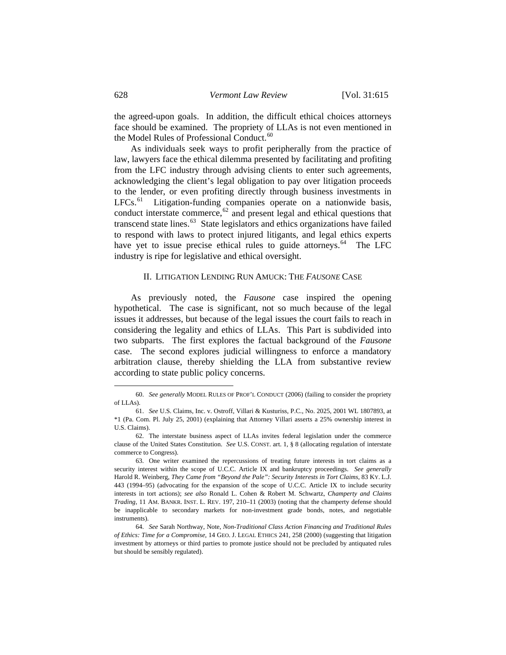the agreed-upon goals. In addition, the difficult ethical choices attorneys face should be examined. The propriety of LLAs is not even mentioned in the Model Rules of Professional Conduct.<sup>[60](#page-13-0)</sup>

 As individuals seek ways to profit peripherally from the practice of law, lawyers face the ethical dilemma presented by facilitating and profiting from the LFC industry through advising clients to enter such agreements, acknowledging the client's legal obligation to pay over litigation proceeds to the lender, or even profiting directly through business investments in  $LFCs$ <sup>[61](#page-13-1)</sup> Litigation-funding companies operate on a nationwide basis, conduct interstate commerce, $62$  and present legal and ethical questions that transcend state lines. $63$  State legislators and ethics organizations have failed to respond with laws to protect injured litigants, and legal ethics experts have yet to issue precise ethical rules to guide attorneys.<sup>[64](#page-13-4)</sup> The LFC industry is ripe for legislative and ethical oversight.

## II. LITIGATION LENDING RUN AMUCK: THE *FAUSONE* CASE

 As previously noted, the *Fausone* case inspired the opening hypothetical. The case is significant, not so much because of the legal issues it addresses, but because of the legal issues the court fails to reach in considering the legality and ethics of LLAs. This Part is subdivided into two subparts. The first explores the factual background of the *Fausone*  case. The second explores judicial willingness to enforce a mandatory arbitration clause, thereby shielding the LLA from substantive review according to state public policy concerns.

<span id="page-13-0"></span> <sup>60.</sup> *See generally* MODEL RULES OF PROF'L CONDUCT (2006) (failing to consider the propriety of LLAs).

<span id="page-13-1"></span> <sup>61.</sup> *See* U.S. Claims, Inc. v. Ostroff, Villari & Kusturiss, P.C., No. 2025, 2001 WL 1807893, at \*1 (Pa. Com. Pl. July 25, 2001) (explaining that Attorney Villari asserts a 25% ownership interest in U.S. Claims).

<span id="page-13-2"></span> <sup>62.</sup> The interstate business aspect of LLAs invites federal legislation under the commerce clause of the United States Constitution. *See* U.S. CONST. art. 1, § 8 (allocating regulation of interstate commerce to Congress).

<span id="page-13-3"></span> <sup>63.</sup> One writer examined the repercussions of treating future interests in tort claims as a security interest within the scope of U.C.C. Article IX and bankruptcy proceedings. *See generally* Harold R. Weinberg, *They Came from "Beyond the Pale": Security Interests in Tort Claims*, 83 KY. L.J. 443 (1994–95) (advocating for the expansion of the scope of U.C.C. Article IX to include security interests in tort actions); *see also* Ronald L. Cohen & Robert M. Schwartz, *Champerty and Claims Trading*, 11 AM. BANKR. INST. L. REV. 197, 210–11 (2003) (noting that the champerty defense should be inapplicable to secondary markets for non-investment grade bonds, notes, and negotiable instruments).

<span id="page-13-4"></span> <sup>64.</sup> *See* Sarah Northway, Note, *Non-Traditional Class Action Financing and Traditional Rules of Ethics: Time for a Compromise*, 14 GEO. J. LEGAL ETHICS 241, 258 (2000) (suggesting that litigation investment by attorneys or third parties to promote justice should not be precluded by antiquated rules but should be sensibly regulated).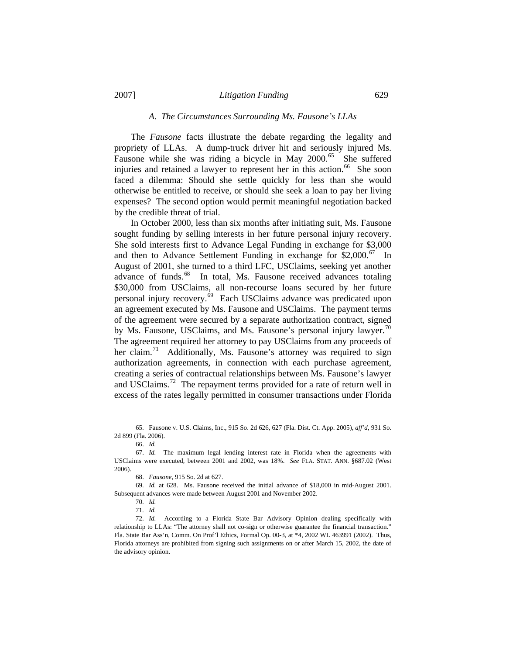## *A. The Circumstances Surrounding Ms. Fausone's LLAs*

 The *Fausone* facts illustrate the debate regarding the legality and propriety of LLAs. A dump-truck driver hit and seriously injured Ms. Fausone while she was riding a bicycle in May  $2000$ .<sup>[65](#page-14-0)</sup> She suffered injuries and retained a lawyer to represent her in this action.<sup>[66](#page-14-1)</sup> She soon faced a dilemma: Should she settle quickly for less than she would otherwise be entitled to receive, or should she seek a loan to pay her living expenses? The second option would permit meaningful negotiation backed by the credible threat of trial.

 In October 2000, less than six months after initiating suit, Ms. Fausone sought funding by selling interests in her future personal injury recovery. She sold interests first to Advance Legal Funding in exchange for \$3,000 and then to Advance Settlement Funding in exchange for  $$2,000$ .<sup>[67](#page-14-2)</sup> In August of 2001, she turned to a third LFC, USClaims, seeking yet another advance of funds.<sup>[68](#page-14-3)</sup> In total, Ms. Fausone received advances totaling \$30,000 from USClaims, all non-recourse loans secured by her future personal injury recovery.[69](#page-14-4) Each USClaims advance was predicated upon an agreement executed by Ms. Fausone and USClaims. The payment terms of the agreement were secured by a separate authorization contract, signed by Ms. Fausone, USClaims, and Ms. Fausone's personal injury lawyer.<sup>[70](#page-14-5)</sup> The agreement required her attorney to pay USClaims from any proceeds of her claim.<sup>[71](#page-14-6)</sup> Additionally, Ms. Fausone's attorney was required to sign authorization agreements, in connection with each purchase agreement, creating a series of contractual relationships between Ms. Fausone's lawyer and USClaims.<sup>[72](#page-14-7)</sup> The repayment terms provided for a rate of return well in excess of the rates legally permitted in consumer transactions under Florida

<span id="page-14-0"></span> <sup>65.</sup> Fausone v. U.S. Claims, Inc., 915 So. 2d 626, 627 (Fla. Dist. Ct. App. 2005), *aff'd*, 931 So. 2d 899 (Fla. 2006).

 <sup>66.</sup> *Id.*

<span id="page-14-2"></span><span id="page-14-1"></span> <sup>67.</sup> *Id.* The maximum legal lending interest rate in Florida when the agreements with USClaims were executed, between 2001 and 2002, was 18%. *See* FLA. STAT. ANN. §687.02 (West 2006).

 <sup>68.</sup> *Fausone*, 915 So. 2d at 627.

<span id="page-14-5"></span><span id="page-14-4"></span><span id="page-14-3"></span> <sup>69.</sup> *Id.* at 628. Ms. Fausone received the initial advance of \$18,000 in mid-August 2001. Subsequent advances were made between August 2001 and November 2002.

 <sup>70.</sup> *Id.*

 <sup>71.</sup> *Id.*

<span id="page-14-7"></span><span id="page-14-6"></span> <sup>72.</sup> *Id.* According to a Florida State Bar Advisory Opinion dealing specifically with relationship to LLAs: "The attorney shall not co-sign or otherwise guarantee the financial transaction." Fla. State Bar Ass'n, Comm. On Prof'l Ethics, Formal Op. 00-3, at \*4, 2002 WL 463991 (2002). Thus, Florida attorneys are prohibited from signing such assignments on or after March 15, 2002, the date of the advisory opinion.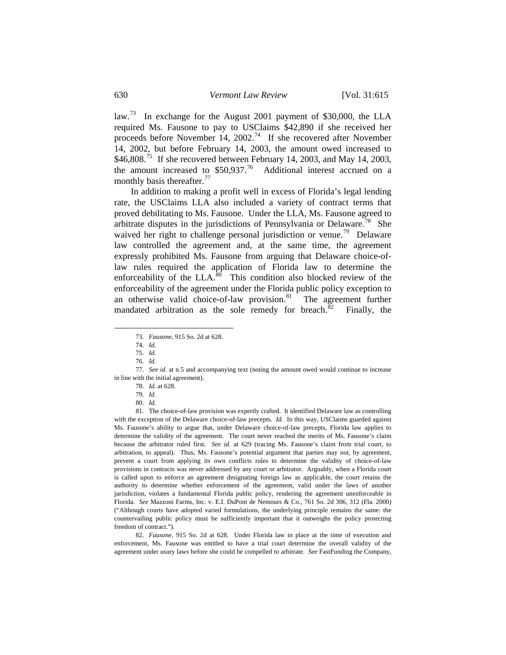law.<sup>[73](#page-15-0)</sup> In exchange for the August 2001 payment of \$30,000, the LLA required Ms. Fausone to pay to USClaims \$42,890 if she received her proceeds before November 14, 2002.<sup>[74](#page-15-1)</sup> If she recovered after November 14, 2002, but before February 14, 2003, the amount owed increased to  $$46,808.<sup>75</sup>$  $$46,808.<sup>75</sup>$  $$46,808.<sup>75</sup>$  If she recovered between February 14, 2003, and May 14, 2003, the amount increased to  $$50.937$ .<sup>[76](#page-15-3)</sup> Additional interest accrued on a monthly basis thereafter.<sup>[77](#page-15-4)</sup>

 In addition to making a profit well in excess of Florida's legal lending rate, the USClaims LLA also included a variety of contract terms that proved debilitating to Ms. Fausone. Under the LLA, Ms. Fausone agreed to arbitrate disputes in the jurisdictions of Pennsylvania or Delaware.<sup>[78](#page-15-5)</sup> She waived her right to challenge personal jurisdiction or venue.<sup>[79](#page-15-6)</sup> Delaware law controlled the agreement and, at the same time, the agreement expressly prohibited Ms. Fausone from arguing that Delaware choice-oflaw rules required the application of Florida law to determine the enforceability of the LLA. $80$  This condition also blocked review of the enforceability of the agreement under the Florida public policy exception to an otherwise valid choice-of-law provision. $81$  The agreement further mandated arbitration as the sole remedy for breach.<sup>[82](#page-15-9)</sup> Finally, the

<span id="page-15-1"></span><span id="page-15-0"></span> $\overline{\phantom{a}}$ 

<span id="page-15-9"></span> 82. *Fausone*, 915 So. 2d at 628. Under Florida law in place at the time of execution and enforcement, Ms. Fausone was entitled to have a trial court determine the overall validity of the agreement under usury laws before she could be compelled to arbitrate. *See* FastFunding the Company,

 <sup>73.</sup> *Fausone*, 915 So. 2d at 628.

 <sup>74.</sup> *Id.*

 <sup>75.</sup> *Id.*

 <sup>76.</sup> *Id.* 

<span id="page-15-5"></span><span id="page-15-4"></span><span id="page-15-3"></span><span id="page-15-2"></span> <sup>77.</sup> *See id.* at n.5 and accompanying text (noting the amount owed would continue to increase in line with the initial agreement).

 <sup>78.</sup> *Id.* at 628.

 <sup>79.</sup> *Id.*

 <sup>80.</sup> *Id.*

<span id="page-15-8"></span><span id="page-15-7"></span><span id="page-15-6"></span> <sup>81.</sup> The choice-of-law provision was expertly crafted. It identified Delaware law as controlling with the exception of the Delaware choice-of-law precepts. *Id.* In this way, USClaims guarded against Ms. Fausone's ability to argue that, under Delaware choice-of-law precepts, Florida law applies to determine the validity of the agreement. The court never reached the merits of Ms. Fausone's claim because the arbitrator ruled first. *See id.* at 629 (tracing Ms. Fausone's claim from trial court, to arbitration, to appeal). Thus, Ms. Fausone's potential argument that parties may not, by agreement, prevent a court from applying its own conflicts rules to determine the validity of choice-of-law provisions in contracts was never addressed by any court or arbitrator. Arguably, when a Florida court is called upon to enforce an agreement designating foreign law as applicable, the court retains the authority to determine whether enforcement of the agreement, valid under the laws of another jurisdiction, violates a fundamental Florida public policy, rendering the agreement unenforceable in Florida. *See* Mazzoni Farms, Inc. v. E.I. DuPont de Nemours & Co., 761 So. 2d 306, 312 (Fla. 2000) ("Although courts have adopted varied formulations, the underlying principle remains the same: the countervailing public policy must be sufficiently important that it outweighs the policy protecting freedom of contract.").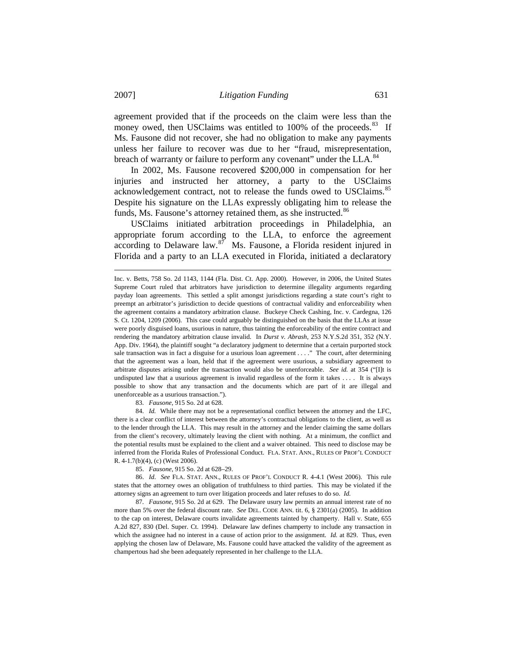agreement provided that if the proceeds on the claim were less than the money owed, then USClaims was entitled to 100% of the proceeds.<sup>[83](#page-16-0)</sup> If Ms. Fausone did not recover, she had no obligation to make any payments unless her failure to recover was due to her "fraud, misrepresentation, breach of warranty or failure to perform any covenant" under the LLA.<sup>[84](#page-16-1)</sup>

 In 2002, Ms. Fausone recovered \$200,000 in compensation for her injuries and instructed her attorney, a party to the USClaims acknowledgement contract, not to release the funds owed to USClaims.<sup>[85](#page-16-2)</sup> Despite his signature on the LLAs expressly obligating him to release the funds, Ms. Fausone's attorney retained them, as she instructed.<sup>[86](#page-16-3)</sup>

 USClaims initiated arbitration proceedings in Philadelphia, an appropriate forum according to the LLA, to enforce the agreement according to Delaware law.<sup>[87](#page-16-4)</sup> Ms. Fausone, a Florida resident injured in Florida and a party to an LLA executed in Florida, initiated a declaratory

83. *Fausone*, 915 So. 2d at 628.

<span id="page-16-1"></span><span id="page-16-0"></span> 84. *Id.* While there may not be a representational conflict between the attorney and the LFC, there is a clear conflict of interest between the attorney's contractual obligations to the client, as well as to the lender through the LLA. This may result in the attorney and the lender claiming the same dollars from the client's recovery, ultimately leaving the client with nothing. At a minimum, the conflict and the potential results must be explained to the client and a waiver obtained. This need to disclose may be inferred from the Florida Rules of Professional Conduct. FLA. STAT. ANN., RULES OF PROF'L CONDUCT R. 4-1.7(b)(4), (c) (West 2006).

<span id="page-16-3"></span><span id="page-16-2"></span> 86. *Id*. *See* FLA. STAT. ANN., RULES OF PROF'L CONDUCT R. 4-4.1 (West 2006). This rule states that the attorney owes an obligation of truthfulness to third parties. This may be violated if the attorney signs an agreement to turn over litigation proceeds and later refuses to do so. *Id.* 

<span id="page-16-4"></span> 87. *Fausone*, 915 So. 2d at 629. The Delaware usury law permits an annual interest rate of no more than 5% over the federal discount rate. *See* DEL. CODE ANN. tit. 6, § 2301(a) (2005). In addition to the cap on interest, Delaware courts invalidate agreements tainted by champerty. Hall v. State, 655 A.2d 827, 830 (Del. Super. Ct. 1994). Delaware law defines champerty to include any transaction in which the assignee had no interest in a cause of action prior to the assignment. *Id.* at 829. Thus, even applying the chosen law of Delaware, Ms. Fausone could have attacked the validity of the agreement as champertous had she been adequately represented in her challenge to the LLA.

Inc. v. Betts, 758 So. 2d 1143, 1144 (Fla. Dist. Ct. App. 2000). However, in 2006, the United States Supreme Court ruled that arbitrators have jurisdiction to determine illegality arguments regarding payday loan agreements. This settled a split amongst jurisdictions regarding a state court's right to preempt an arbitrator's jurisdiction to decide questions of contractual validity and enforceability when the agreement contains a mandatory arbitration clause. Buckeye Check Cashing, Inc. v. Cardegna, 126 S. Ct. 1204, 1209 (2006). This case could arguably be distinguished on the basis that the LLAs at issue were poorly disguised loans, usurious in nature, thus tainting the enforceability of the entire contract and rendering the mandatory arbitration clause invalid. In *Durst v. Abrash*, 253 N.Y.S.2d 351, 352 (N.Y. App. Div. 1964), the plaintiff sought "a declaratory judgment to determine that a certain purported stock sale transaction was in fact a disguise for a usurious loan agreement . . . ." The court, after determining that the agreement was a loan, held that if the agreement were usurious, a subsidiary agreement to arbitrate disputes arising under the transaction would also be unenforceable. *See id.* at 354 ("[I]t is undisputed law that a usurious agreement is invalid regardless of the form it takes . . . . It is always possible to show that any transaction and the documents which are part of it are illegal and unenforceable as a usurious transaction.").

 <sup>85.</sup> *Fausone*, 915 So. 2d at 628–29.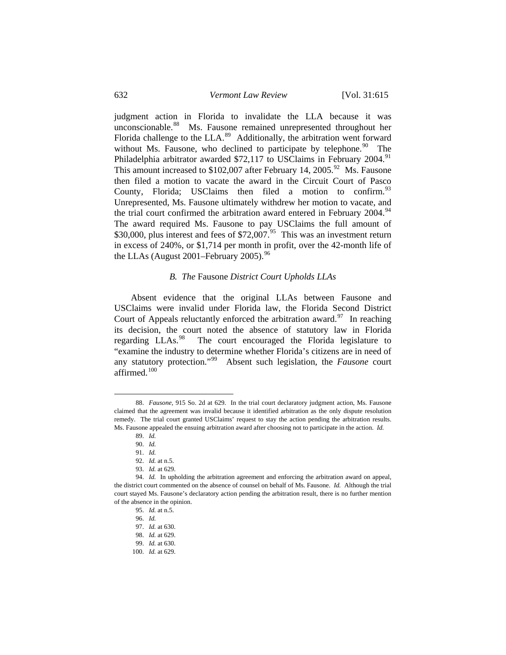judgment action in Florida to invalidate the LLA because it was unconscionable.<sup>[88](#page-17-0)</sup> Ms. Fausone remained unrepresented throughout her Florida challenge to the LLA.<sup>[89](#page-17-1)</sup> Additionally, the arbitration went forward without Ms. Fausone, who declined to participate by telephone. <sup>[90](#page-17-2)</sup> The Philadelphia arbitrator awarded \$72,117 to USClaims in February 2004.<sup>[91](#page-17-3)</sup> This amount increased to  $$102,007$  after February 14, 2005.<sup>[92](#page-17-4)</sup> Ms. Fausone then filed a motion to vacate the award in the Circuit Court of Pasco County, Florida; USClaims then filed a motion to confirm.  $93$ Unrepresented, Ms. Fausone ultimately withdrew her motion to vacate, and the trial court confirmed the arbitration award entered in February 2004.<sup>[94](#page-17-6)</sup> The award required Ms. Fausone to pay USClaims the full amount of \$30,000, plus interest and fees of  $$72,007<sup>95</sup>$  $$72,007<sup>95</sup>$  $$72,007<sup>95</sup>$  This was an investment return in excess of 240%, or \$1,714 per month in profit, over the 42-month life of the LLAs (August 2001–February 2005).<sup>[96](#page-17-8)</sup>

### *B. The* Fausone *District Court Upholds LLAs*

 Absent evidence that the original LLAs between Fausone and USClaims were invalid under Florida law, the Florida Second District Court of Appeals reluctantly enforced the arbitration award.<sup>[97](#page-17-9)</sup> In reaching its decision, the court noted the absence of statutory law in Florida regarding LLAs.<sup>[98](#page-17-10)</sup> The court encouraged the Florida legislature to "examine the industry to determine whether Florida's citizens are in need of any statutory protection."[99](#page-17-11) Absent such legislation, the *Fausone* court affirmed. $100$ 

<span id="page-17-1"></span><span id="page-17-0"></span> <sup>88.</sup> *Fausone*, 915 So. 2d at 629. In the trial court declaratory judgment action, Ms. Fausone claimed that the agreement was invalid because it identified arbitration as the only dispute resolution remedy. The trial court granted USClaims' request to stay the action pending the arbitration results. Ms. Fausone appealed the ensuing arbitration award after choosing not to participate in the action. *Id.*

 <sup>89.</sup> *Id.* 

 <sup>90.</sup> *Id.* 

 <sup>91.</sup> *Id.* 

 <sup>92.</sup> *Id.* at n.5.

 <sup>93.</sup> *Id.* at 629.

<span id="page-17-11"></span><span id="page-17-10"></span><span id="page-17-9"></span><span id="page-17-8"></span><span id="page-17-7"></span><span id="page-17-6"></span><span id="page-17-5"></span><span id="page-17-4"></span><span id="page-17-3"></span><span id="page-17-2"></span> <sup>94.</sup> *Id.* In upholding the arbitration agreement and enforcing the arbitration award on appeal, the district court commented on the absence of counsel on behalf of Ms. Fausone. *Id.* Although the trial court stayed Ms. Fausone's declaratory action pending the arbitration result, there is no further mention of the absence in the opinion.

 <sup>95.</sup> *Id.* at n.5.

 <sup>96.</sup> *Id.*

 <sup>97.</sup> *Id.* at 630.

 <sup>98.</sup> *Id.* at 629. 99. *Id.* at 630.

<span id="page-17-12"></span> <sup>100.</sup> *Id.* at 629.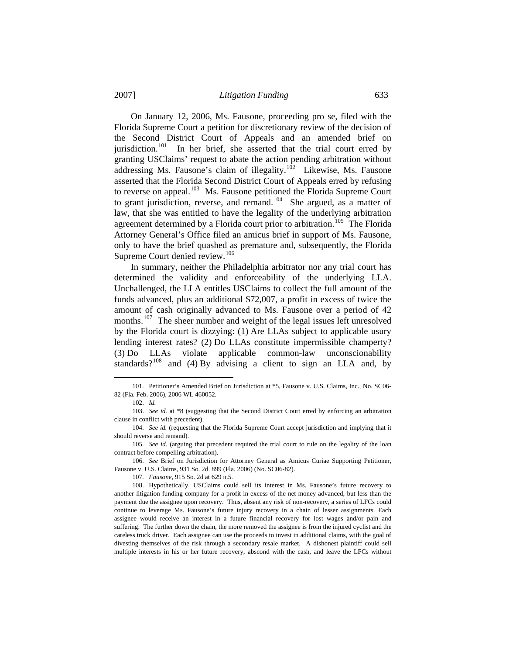On January 12, 2006, Ms. Fausone, proceeding pro se, filed with the Florida Supreme Court a petition for discretionary review of the decision of the Second District Court of Appeals and an amended brief on iurisdiction.<sup>[101](#page-18-0)</sup> In her brief, she asserted that the trial court erred by granting USClaims' request to abate the action pending arbitration without addressing Ms. Fausone's claim of illegality.<sup>[102](#page-18-1)</sup> Likewise, Ms. Fausone asserted that the Florida Second District Court of Appeals erred by refusing to reverse on appeal.<sup>[103](#page-18-2)</sup> Ms. Fausone petitioned the Florida Supreme Court to grant jurisdiction, reverse, and remand.<sup>[104](#page-18-3)</sup> She argued, as a matter of law, that she was entitled to have the legality of the underlying arbitration agreement determined by a Florida court prior to arbitration.<sup>[105](#page-18-4)</sup> The Florida Attorney General's Office filed an amicus brief in support of Ms. Fausone, only to have the brief quashed as premature and, subsequently, the Florida Supreme Court denied review.<sup>[106](#page-18-5)</sup>

 In summary, neither the Philadelphia arbitrator nor any trial court has determined the validity and enforceability of the underlying LLA. Unchallenged, the LLA entitles USClaims to collect the full amount of the funds advanced, plus an additional \$72,007, a profit in excess of twice the amount of cash originally advanced to Ms. Fausone over a period of 42 months.<sup>[107](#page-18-6)</sup> The sheer number and weight of the legal issues left unresolved by the Florida court is dizzying: (1) Are LLAs subject to applicable usury lending interest rates? (2) Do LLAs constitute impermissible champerty? (3) Do LLAs violate applicable common-law unconscionability standards? $108$  and (4) By advising a client to sign an LLA and, by

 $\overline{\phantom{a}}$ 

107. *Fausone*, 915 So. 2d at 629 n.5.

<span id="page-18-0"></span> <sup>101.</sup> Petitioner's Amended Brief on Jurisdiction at \*5, Fausone v. U.S. Claims, Inc., No. SC06- 82 (Fla. Feb. 2006), 2006 WL 460052.

 <sup>102.</sup> *Id.*

<span id="page-18-2"></span><span id="page-18-1"></span> <sup>103.</sup> *See id.* at \*8 (suggesting that the Second District Court erred by enforcing an arbitration clause in conflict with precedent).

<span id="page-18-3"></span> <sup>104.</sup> *See id.* (requesting that the Florida Supreme Court accept jurisdiction and implying that it should reverse and remand).

<span id="page-18-4"></span> <sup>105.</sup> *See id.* (arguing that precedent required the trial court to rule on the legality of the loan contract before compelling arbitration).

<span id="page-18-5"></span> <sup>106.</sup> *See* Brief on Jurisdiction for Attorney General as Amicus Curiae Supporting Petitioner, Fausone v. U.S. Claims, 931 So. 2d. 899 (Fla. 2006) (No. SC06-82).

<span id="page-18-7"></span><span id="page-18-6"></span> <sup>108.</sup> Hypothetically, USClaims could sell its interest in Ms. Fausone's future recovery to another litigation funding company for a profit in excess of the net money advanced, but less than the payment due the assignee upon recovery. Thus, absent any risk of non-recovery, a series of LFCs could continue to leverage Ms. Fausone's future injury recovery in a chain of lesser assignments. Each assignee would receive an interest in a future financial recovery for lost wages and/or pain and suffering. The further down the chain, the more removed the assignee is from the injured cyclist and the careless truck driver. Each assignee can use the proceeds to invest in additional claims, with the goal of divesting themselves of the risk through a secondary resale market. A dishonest plaintiff could sell multiple interests in his or her future recovery, abscond with the cash, and leave the LFCs without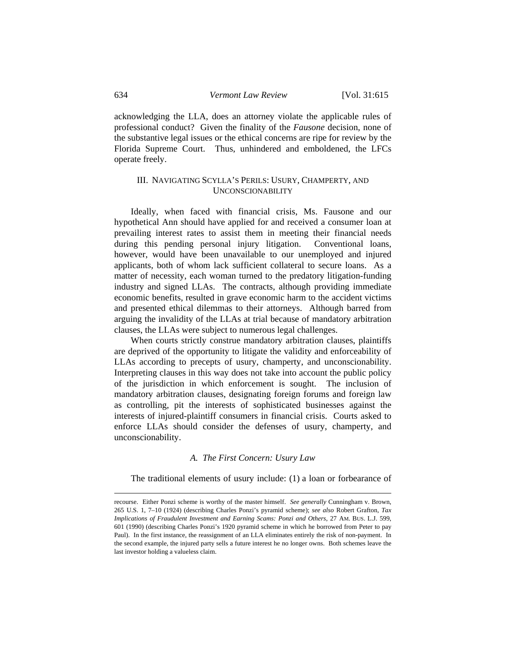acknowledging the LLA, does an attorney violate the applicable rules of professional conduct? Given the finality of the *Fausone* decision, none of the substantive legal issues or the ethical concerns are ripe for review by the Florida Supreme Court. Thus, unhindered and emboldened, the LFCs operate freely.

# III. NAVIGATING SCYLLA'S PERILS: USURY, CHAMPERTY, AND UNCONSCIONABILITY

 Ideally, when faced with financial crisis, Ms. Fausone and our hypothetical Ann should have applied for and received a consumer loan at prevailing interest rates to assist them in meeting their financial needs during this pending personal injury litigation. Conventional loans, however, would have been unavailable to our unemployed and injured applicants, both of whom lack sufficient collateral to secure loans. As a matter of necessity, each woman turned to the predatory litigation-funding industry and signed LLAs. The contracts, although providing immediate economic benefits, resulted in grave economic harm to the accident victims and presented ethical dilemmas to their attorneys. Although barred from arguing the invalidity of the LLAs at trial because of mandatory arbitration clauses, the LLAs were subject to numerous legal challenges.

 When courts strictly construe mandatory arbitration clauses, plaintiffs are deprived of the opportunity to litigate the validity and enforceability of LLAs according to precepts of usury, champerty, and unconscionability. Interpreting clauses in this way does not take into account the public policy of the jurisdiction in which enforcement is sought. The inclusion of mandatory arbitration clauses, designating foreign forums and foreign law as controlling, pit the interests of sophisticated businesses against the interests of injured-plaintiff consumers in financial crisis. Courts asked to enforce LLAs should consider the defenses of usury, champerty, and unconscionability.

## *A. The First Concern: Usury Law*

The traditional elements of usury include: (1) a loan or forbearance of

recourse. Either Ponzi scheme is worthy of the master himself. *See generally* Cunningham v. Brown, 265 U.S. 1, 7–10 (1924) (describing Charles Ponzi's pyramid scheme); *see also* Robert Grafton, *Tax Implications of Fraudulent Investment and Earning Scams: Ponzi and Others*, 27 AM. BUS. L.J. 599, 601 (1990) (describing Charles Ponzi's 1920 pyramid scheme in which he borrowed from Peter to pay Paul). In the first instance, the reassignment of an LLA eliminates entirely the risk of non-payment. In the second example, the injured party sells a future interest he no longer owns. Both schemes leave the last investor holding a valueless claim.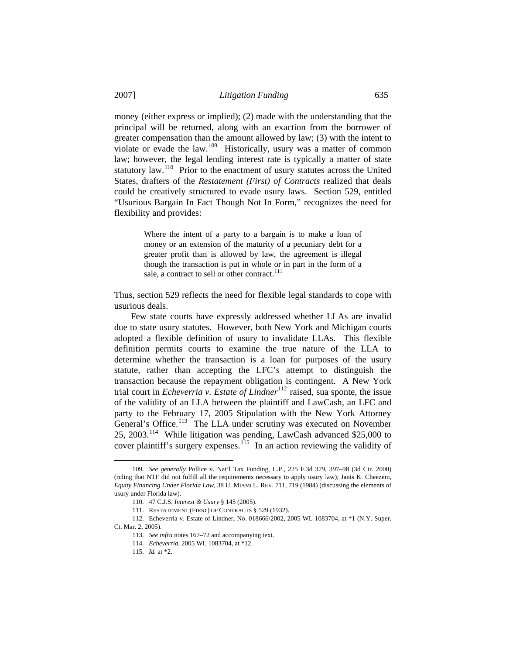money (either express or implied); (2) made with the understanding that the principal will be returned, along with an exaction from the borrower of greater compensation than the amount allowed by law; (3) with the intent to violate or evade the law.[109](#page-20-0) Historically, usury was a matter of common law; however, the legal lending interest rate is typically a matter of state statutory law.<sup>[110](#page-20-1)</sup> Prior to the enactment of usury statutes across the United States, drafters of the *Restatement (First) of Contracts* realized that deals could be creatively structured to evade usury laws. Section 529, entitled "Usurious Bargain In Fact Though Not In Form," recognizes the need for flexibility and provides:

> Where the intent of a party to a bargain is to make a loan of money or an extension of the maturity of a pecuniary debt for a greater profit than is allowed by law, the agreement is illegal though the transaction is put in whole or in part in the form of a sale, a contract to sell or other contract.<sup>[111](#page-20-2)</sup>

Thus, section 529 reflects the need for flexible legal standards to cope with usurious deals.

 Few state courts have expressly addressed whether LLAs are invalid due to state usury statutes. However, both New York and Michigan courts adopted a flexible definition of usury to invalidate LLAs. This flexible definition permits courts to examine the true nature of the LLA to determine whether the transaction is a loan for purposes of the usury statute, rather than accepting the LFC's attempt to distinguish the transaction because the repayment obligation is contingent. A New York trial court in *Echeverria v. Estate of Lindner*<sup>[112](#page-20-3)</sup> raised, sua sponte, the issue of the validity of an LLA between the plaintiff and LawCash, an LFC and party to the February 17, 2005 Stipulation with the New York Attorney General's Office.<sup>[113](#page-20-4)</sup> The LLA under scrutiny was executed on November 25, 2003.[114](#page-20-5) While litigation was pending, LawCash advanced \$25,000 to cover plaintiff's surgery expenses.<sup>[115](#page-20-6)</sup> In an action reviewing the validity of

<span id="page-20-0"></span> <sup>109.</sup> *See generally* Pollice v. Nat'l Tax Funding, L.P., 225 F.3d 379, 397–98 (3d Cir. 2000) (ruling that NTF did not fulfill all the requirements necessary to apply usury law); Janis K. Cheezem, *Equity Financing Under Florida Law*, 38 U. MIAMI L. REV. 711, 719 (1984) (discussing the elements of usury under Florida law).

 <sup>110. 47</sup> C.J.S. *Interest & Usury* § 145 (2005).

 <sup>111.</sup> RESTATEMENT (FIRST) OF CONTRACTS § 529 (1932).

<span id="page-20-6"></span><span id="page-20-5"></span><span id="page-20-4"></span><span id="page-20-3"></span><span id="page-20-2"></span><span id="page-20-1"></span> <sup>112.</sup> Echeverria v. Estate of Lindner, No. 018666/2002, 2005 WL 1083704, at \*1 (N.Y. Super. Ct. Mar. 2, 2005).

 <sup>113.</sup> *See infra* notes 167–72 and accompanying text.

 <sup>114.</sup> *Echeverria*, 2005 WL 1083704, at \*12.

 <sup>115.</sup> *Id.* at \*2.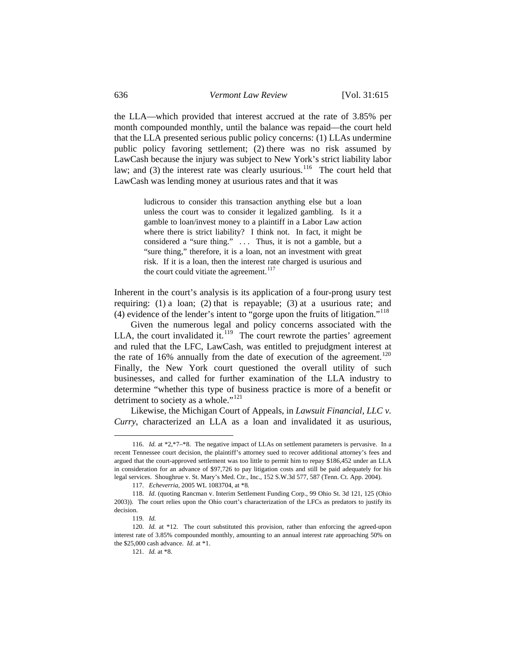the LLA—which provided that interest accrued at the rate of 3.85% per month compounded monthly, until the balance was repaid—the court held that the LLA presented serious public policy concerns: (1) LLAs undermine public policy favoring settlement; (2) there was no risk assumed by LawCash because the injury was subject to New York's strict liability labor law; and  $(3)$  the interest rate was clearly usurious.<sup>[116](#page-21-0)</sup> The court held that LawCash was lending money at usurious rates and that it was

> ludicrous to consider this transaction anything else but a loan unless the court was to consider it legalized gambling. Is it a gamble to loan/invest money to a plaintiff in a Labor Law action where there is strict liability? I think not. In fact, it might be considered a "sure thing." ... Thus, it is not a gamble, but a "sure thing," therefore, it is a loan, not an investment with great risk. If it is a loan, then the interest rate charged is usurious and the court could vitiate the agreement.<sup>[117](#page-21-1)</sup>

Inherent in the court's analysis is its application of a four-prong usury test requiring: (1) a loan; (2) that is repayable; (3) at a usurious rate; and (4) evidence of the lender's intent to "gorge upon the fruits of litigation."[118](#page-21-2)

 Given the numerous legal and policy concerns associated with the LLA, the court invalidated it. $119$  The court rewrote the parties' agreement and ruled that the LFC, LawCash, was entitled to prejudgment interest at the rate of 16% annually from the date of execution of the agreement.<sup>[120](#page-21-4)</sup> Finally, the New York court questioned the overall utility of such businesses, and called for further examination of the LLA industry to determine "whether this type of business practice is more of a benefit or detriment to society as a whole."<sup>[121](#page-21-5)</sup>

 Likewise, the Michigan Court of Appeals, in *Lawsuit Financial, LLC v. Curry*, characterized an LLA as a loan and invalidated it as usurious,

<span id="page-21-0"></span> <sup>116.</sup> *Id.* at \*2,\*7–\*8. The negative impact of LLAs on settlement parameters is pervasive. In a recent Tennessee court decision, the plaintiff's attorney sued to recover additional attorney's fees and argued that the court-approved settlement was too little to permit him to repay \$186,452 under an LLA in consideration for an advance of \$97,726 to pay litigation costs and still be paid adequately for his legal services. Shoughrue v. St. Mary's Med. Ctr., Inc., 152 S.W.3d 577, 587 (Tenn. Ct. App. 2004).

 <sup>117.</sup> *Echeverria*, 2005 WL 1083704, at \*8*.*

<span id="page-21-2"></span><span id="page-21-1"></span> <sup>118.</sup> *Id*. (quoting Rancman v. Interim Settlement Funding Corp., 99 Ohio St. 3d 121, 125 (Ohio 2003)). The court relies upon the Ohio court's characterization of the LFCs as predators to justify its decision.

 <sup>119.</sup> *Id.*

<span id="page-21-5"></span><span id="page-21-4"></span><span id="page-21-3"></span><sup>120.</sup> *Id.* at \*12. The court substituted this provision, rather than enforcing the agreed-upon interest rate of 3.85% compounded monthly, amounting to an annual interest rate approaching 50% on the \$25,000 cash advance. *Id.* at \*1.

 <sup>121.</sup> *Id.* at \*8.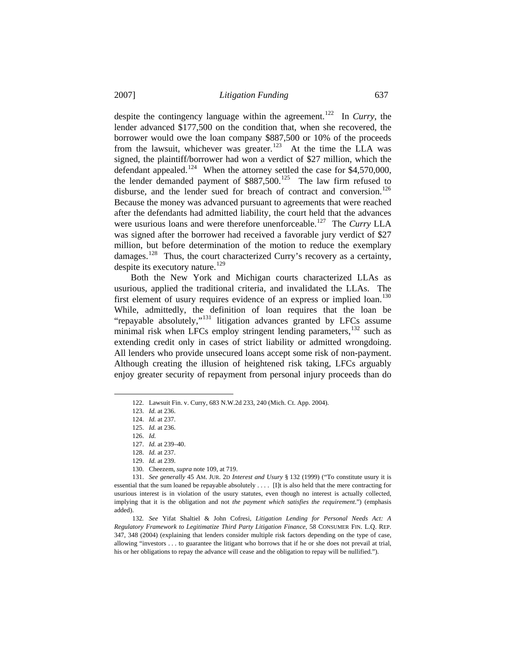despite the contingency language within the agreement.<sup>[122](#page-22-0)</sup> In *Curry*, the lender advanced \$177,500 on the condition that, when she recovered, the borrower would owe the loan company \$887,500 or 10% of the proceeds from the lawsuit, whichever was greater.<sup>[123](#page-22-1)</sup> At the time the LLA was signed, the plaintiff/borrower had won a verdict of \$27 million, which the defendant appealed.<sup>[124](#page-22-2)</sup> When the attorney settled the case for \$4,570,000, the lender demanded payment of  $$887,500$ .<sup>[125](#page-22-3)</sup> The law firm refused to disburse, and the lender sued for breach of contract and conversion.<sup>[126](#page-22-4)</sup> Because the money was advanced pursuant to agreements that were reached after the defendants had admitted liability, the court held that the advances were usurious loans and were therefore unenforceable.<sup>[127](#page-22-5)</sup> The *Curry* LLA was signed after the borrower had received a favorable jury verdict of \$27 million, but before determination of the motion to reduce the exemplary damages.<sup>[128](#page-22-6)</sup> Thus, the court characterized Curry's recovery as a certainty, despite its executory nature.<sup>[129](#page-22-7)</sup>

 Both the New York and Michigan courts characterized LLAs as usurious, applied the traditional criteria, and invalidated the LLAs. The first element of usury requires evidence of an express or implied  $\alpha$ .<sup>[130](#page-22-8)</sup> While, admittedly, the definition of loan requires that the loan be "repayable absolutely,"[131](#page-22-9) litigation advances granted by LFCs assume minimal risk when LFCs employ stringent lending parameters,  $132$  such as extending credit only in cases of strict liability or admitted wrongdoing. All lenders who provide unsecured loans accept some risk of non-payment. Although creating the illusion of heightened risk taking, LFCs arguably enjoy greater security of repayment from personal injury proceeds than do

<span id="page-22-3"></span><span id="page-22-2"></span><span id="page-22-1"></span><span id="page-22-0"></span>l

130. Cheezem, *supra* note 109, at 719.

 <sup>122.</sup> Lawsuit Fin. v. Curry, 683 N.W.2d 233, 240 (Mich. Ct. App. 2004).

 <sup>123.</sup> *Id.* at 236.

 <sup>124.</sup> *Id.* at 237.

 <sup>125.</sup> *Id.* at 236.

 <sup>126.</sup> *Id.*

 <sup>127.</sup> *Id.* at 239–40.

 <sup>128.</sup> *Id.* at 237.

 <sup>129.</sup> *Id.* at 239.

<span id="page-22-9"></span><span id="page-22-8"></span><span id="page-22-7"></span><span id="page-22-6"></span><span id="page-22-5"></span><span id="page-22-4"></span> <sup>131.</sup> *See generally* 45 AM. JUR. 2D *Interest and Usury* § 132 (1999) ("To constitute usury it is essential that the sum loaned be repayable absolutely . . . . [I]t is also held that the mere contracting for usurious interest is in violation of the usury statutes, even though no interest is actually collected, implying that it is the obligation and not *the payment which satisfies the requirement*.") (emphasis added).

<span id="page-22-10"></span><sup>132</sup>*. See* Yifat Shaltiel & John Cofresi, *Litigation Lending for Personal Needs Act: A Regulatory Framework to Legitimatize Third Party Litigation Finance*, 58 CONSUMER FIN. L.Q. REP. 347, 348 (2004) (explaining that lenders consider multiple risk factors depending on the type of case, allowing "investors . . . to guarantee the litigant who borrows that if he or she does not prevail at trial, his or her obligations to repay the advance will cease and the obligation to repay will be nullified.").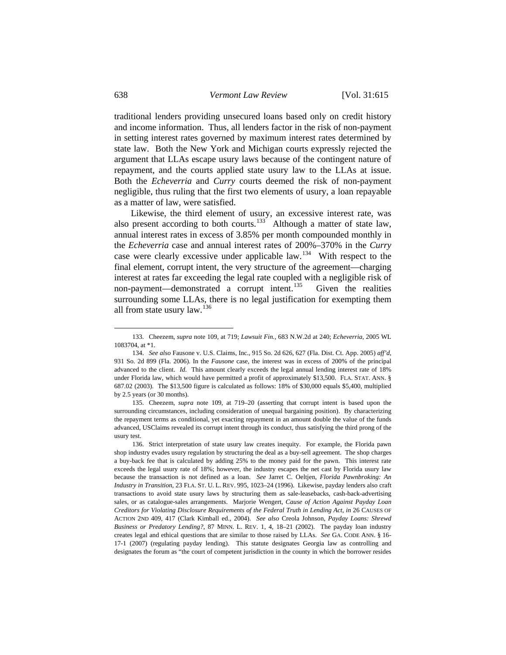traditional lenders providing unsecured loans based only on credit history and income information. Thus, all lenders factor in the risk of non-payment in setting interest rates governed by maximum interest rates determined by state law. Both the New York and Michigan courts expressly rejected the argument that LLAs escape usury laws because of the contingent nature of repayment, and the courts applied state usury law to the LLAs at issue. Both the *Echeverria* and *Curry* courts deemed the risk of non-payment negligible, thus ruling that the first two elements of usury, a loan repayable as a matter of law, were satisfied.

 Likewise, the third element of usury, an excessive interest rate, was also present according to both courts.<sup>[133](#page-23-0)</sup> Although a matter of state law, annual interest rates in excess of 3.85% per month compounded monthly in the *Echeverria* case and annual interest rates of 200%–370% in the *Curry* case were clearly excessive under applicable law.[134](#page-23-1) With respect to the final element, corrupt intent, the very structure of the agreement—charging interest at rates far exceeding the legal rate coupled with a negligible risk of non-payment—demonstrated a corrupt intent.<sup>135</sup> Given the realities non-payment—demonstrated a corrupt intent.<sup>[135](#page-23-2)</sup> surrounding some LLAs, there is no legal justification for exempting them all from state usury law.[136](#page-23-3)

 $\overline{\phantom{a}}$ 

<span id="page-23-0"></span> <sup>133.</sup> Cheezem, *supra* note 109, at 719; *Lawsuit Fin.*, 683 N.W.2d at 240; *Echeverria*, 2005 WL 1083704, at \*1.

<span id="page-23-1"></span> <sup>134.</sup> *See also* Fausone v. U.S. Claims, Inc., 915 So. 2d 626, 627 (Fla. Dist. Ct. App. 2005) *aff'd*, 931 So. 2d 899 (Fla. 2006). In the *Fausone* case, the interest was in excess of 200% of the principal advanced to the client. *Id.* This amount clearly exceeds the legal annual lending interest rate of 18% under Florida law, which would have permitted a profit of approximately \$13,500. FLA. STAT. ANN. § 687.02 (2003). The \$13,500 figure is calculated as follows: 18% of \$30,000 equals \$5,400, multiplied by 2.5 years (or 30 months).

<span id="page-23-2"></span> <sup>135.</sup> Cheezem, *supra* note 109, at 719–20 (asserting that corrupt intent is based upon the surrounding circumstances, including consideration of unequal bargaining position). By characterizing the repayment terms as conditional, yet exacting repayment in an amount double the value of the funds advanced, USClaims revealed its corrupt intent through its conduct, thus satisfying the third prong of the usury test.

<span id="page-23-3"></span> <sup>136.</sup> Strict interpretation of state usury law creates inequity. For example, the Florida pawn shop industry evades usury regulation by structuring the deal as a buy-sell agreement. The shop charges a buy-back fee that is calculated by adding 25% to the money paid for the pawn. This interest rate exceeds the legal usury rate of 18%; however, the industry escapes the net cast by Florida usury law because the transaction is not defined as a loan. *See* Jarret C. Oeltjen, *Florida Pawnbroking: An Industry in Transition*, 23 FLA. ST. U. L. REV. 995, 1023–24 (1996). Likewise, payday lenders also craft transactions to avoid state usury laws by structuring them as sale-leasebacks, cash-back-advertising sales, or as catalogue-sales arrangements. Marjorie Wengert, *Cause of Action Against Payday Loan Creditors for Violating Disclosure Requirements of the Federal Truth in Lending Act*, *in* 26 CAUSES OF ACTION 2ND 409, 417 (Clark Kimball ed., 2004). *See also* Creola Johnson, *Payday Loans: Shrewd Business or Predatory Lending?*, 87 MINN. L. REV. 1, 4, 18–21 (2002). The payday loan industry creates legal and ethical questions that are similar to those raised by LLAs. *See* GA. CODE ANN. § 16- 17-1 (2007) (regulating payday lending). This statute designates Georgia law as controlling and designates the forum as "the court of competent jurisdiction in the county in which the borrower resides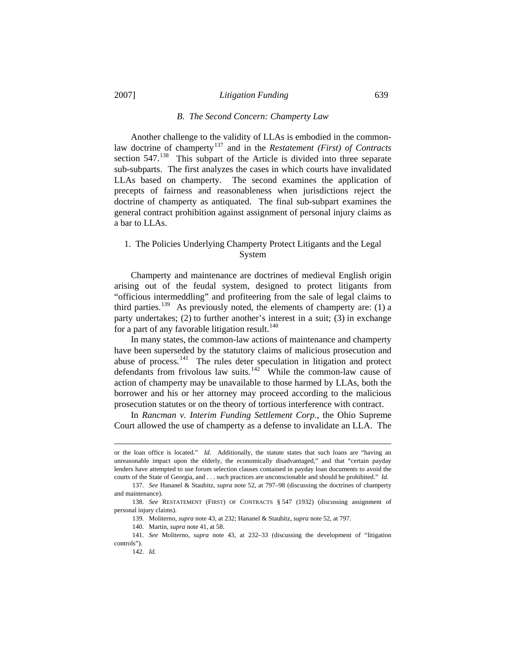### *B. The Second Concern: Champerty Law*

 Another challenge to the validity of LLAs is embodied in the common-law doctrine of champerty<sup>[137](#page-24-0)</sup> and in the *Restatement (First) of Contracts* section 547.<sup>[138](#page-24-1)</sup> This subpart of the Article is divided into three separate sub-subparts. The first analyzes the cases in which courts have invalidated LLAs based on champerty. The second examines the application of precepts of fairness and reasonableness when jurisdictions reject the doctrine of champerty as antiquated. The final sub-subpart examines the general contract prohibition against assignment of personal injury claims as a bar to LLAs.

## 1. The Policies Underlying Champerty Protect Litigants and the Legal System

 Champerty and maintenance are doctrines of medieval English origin arising out of the feudal system, designed to protect litigants from "officious intermeddling" and profiteering from the sale of legal claims to third parties.<sup>[139](#page-24-2)</sup> As previously noted, the elements of champerty are: (1) a party undertakes; (2) to further another's interest in a suit; (3) in exchange for a part of any favorable litigation result. $140$ 

 In many states, the common-law actions of maintenance and champerty have been superseded by the statutory claims of malicious prosecution and abuse of process.<sup>[141](#page-24-4)</sup> The rules deter speculation in litigation and protect defendants from frivolous law suits.<sup>[142](#page-24-5)</sup> While the common-law cause of action of champerty may be unavailable to those harmed by LLAs, both the borrower and his or her attorney may proceed according to the malicious prosecution statutes or on the theory of tortious interference with contract.

 In *Rancman v. Interim Funding Settlement Corp.*, the Ohio Supreme Court allowed the use of champerty as a defense to invalidate an LLA. The

or the loan office is located." *Id.* Additionally, the statute states that such loans are "having an unreasonable impact upon the elderly, the economically disadvantaged," and that "certain payday lenders have attempted to use forum selection clauses contained in payday loan documents to avoid the courts of the State of Georgia, and . . . such practices are unconscionable and should be prohibited." *Id.*

<span id="page-24-0"></span> <sup>137.</sup> *See* Hananel & Staubitz, *supra* note 52, at 797–98 (discussing the doctrines of champerty and maintenance).

<span id="page-24-2"></span><span id="page-24-1"></span> <sup>138.</sup> *See* RESTATEMENT (FIRST) OF CONTRACTS § 547 (1932) (discussing assignment of personal injury claims).

 <sup>139.</sup> Moliterno, *supra* note 43, at 232; Hananel & Staubitz, *supra* note 52, at 797.

 <sup>140.</sup> Martin, *supra* note 41, at 58.

<span id="page-24-5"></span><span id="page-24-4"></span><span id="page-24-3"></span> <sup>141.</sup> *See* Moliterno, *supra* note 43, at 232–33 (discussing the development of "litigation controls").

 <sup>142.</sup> *Id.*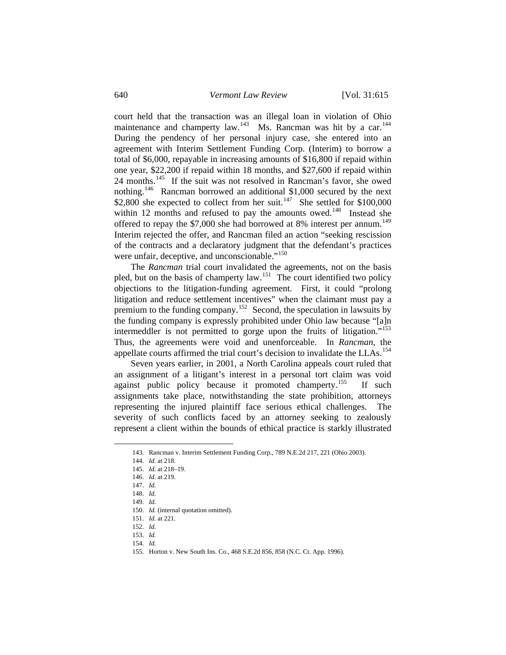court held that the transaction was an illegal loan in violation of Ohio maintenance and champerty law.<sup>[143](#page-25-0)</sup> Ms. Rancman was hit by a car.<sup>[144](#page-25-1)</sup> During the pendency of her personal injury case, she entered into an agreement with Interim Settlement Funding Corp. (Interim) to borrow a total of \$6,000, repayable in increasing amounts of \$16,800 if repaid within one year, \$22,200 if repaid within 18 months, and \$27,600 if repaid within 24 months.[145](#page-25-2) If the suit was not resolved in Rancman's favor, she owed nothing.[146](#page-25-3) Rancman borrowed an additional \$1,000 secured by the next \$2,800 she expected to collect from her suit.<sup>[147](#page-25-4)</sup> She settled for \$100,000 within 12 months and refused to pay the amounts owed.<sup>[148](#page-25-5)</sup> Instead she offered to repay the \$7,000 she had borrowed at 8% interest per annum.<sup>[149](#page-25-6)</sup> Interim rejected the offer, and Rancman filed an action "seeking rescission of the contracts and a declaratory judgment that the defendant's practices were unfair, deceptive, and unconscionable."<sup>[150](#page-25-7)</sup>

 The *Rancman* trial court invalidated the agreements, not on the basis pled, but on the basis of champerty law.<sup>[151](#page-25-8)</sup> The court identified two policy objections to the litigation-funding agreement. First, it could "prolong litigation and reduce settlement incentives" when the claimant must pay a premium to the funding company.[152](#page-25-9) Second, the speculation in lawsuits by the funding company is expressly prohibited under Ohio law because "[a]n intermeddler is not permitted to gorge upon the fruits of litigation."<sup>[153](#page-25-10)</sup> Thus, the agreements were void and unenforceable. In *Rancman,* the appellate courts affirmed the trial court's decision to invalidate the  $LLAs$ <sup>[154](#page-25-11)</sup>

 Seven years earlier, in 2001, a North Carolina appeals court ruled that an assignment of a litigant's interest in a personal tort claim was void against public policy because it promoted champerty.<sup>[155](#page-25-12)</sup> If such assignments take place, notwithstanding the state prohibition, attorneys representing the injured plaintiff face serious ethical challenges. The severity of such conflicts faced by an attorney seeking to zealously represent a client within the bounds of ethical practice is starkly illustrated

 <sup>143.</sup> Rancman v. Interim Settlement Funding Corp., 789 N.E.2d 217, 221 (Ohio 2003).

<span id="page-25-2"></span><span id="page-25-1"></span><span id="page-25-0"></span> <sup>144.</sup> *Id.* at 218.

 <sup>145.</sup> *Id.* at 218–19.

<span id="page-25-3"></span> <sup>146.</sup> *Id.* at 219.

<span id="page-25-4"></span> <sup>147.</sup> *Id.*

<span id="page-25-5"></span> <sup>148.</sup> *Id.*

<span id="page-25-6"></span> <sup>149.</sup> *Id.*

 <sup>150.</sup> *Id.* (internal quotation omitted).

<span id="page-25-8"></span><span id="page-25-7"></span> <sup>151.</sup> *Id.* at 221.

<span id="page-25-10"></span><span id="page-25-9"></span> <sup>152.</sup> *Id.*

 <sup>153.</sup> *Id.*

<span id="page-25-11"></span> <sup>154.</sup> *Id.*

<span id="page-25-12"></span> <sup>155.</sup> Horton v. New South Ins. Co., 468 S.E.2d 856, 858 (N.C. Ct. App. 1996).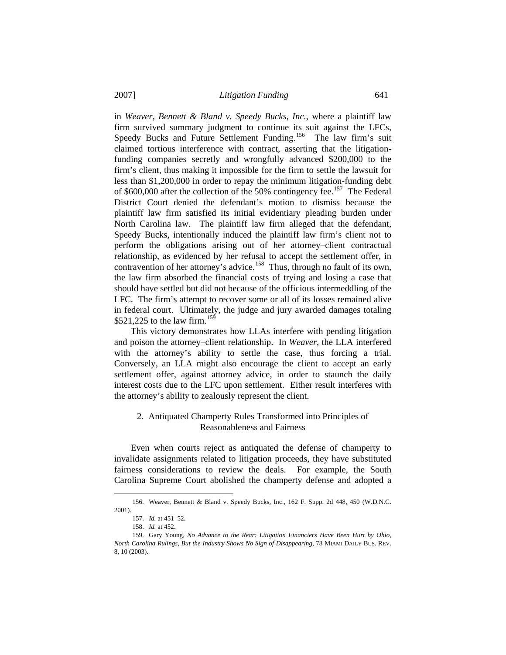in *Weaver, Bennett & Bland v. Speedy Bucks, Inc.*, where a plaintiff law firm survived summary judgment to continue its suit against the LFCs, Speedy Bucks and Future Settlement Funding.<sup>[156](#page-26-0)</sup> The law firm's suit claimed tortious interference with contract, asserting that the litigationfunding companies secretly and wrongfully advanced \$200,000 to the firm's client, thus making it impossible for the firm to settle the lawsuit for less than \$1,200,000 in order to repay the minimum litigation-funding debt of  $$600,000$  after the collection of the 50% contingency fee.<sup>[157](#page-26-1)</sup> The Federal District Court denied the defendant's motion to dismiss because the plaintiff law firm satisfied its initial evidentiary pleading burden under North Carolina law. The plaintiff law firm alleged that the defendant, Speedy Bucks, intentionally induced the plaintiff law firm's client not to perform the obligations arising out of her attorney–client contractual relationship, as evidenced by her refusal to accept the settlement offer, in contravention of her attorney's advice.<sup>[158](#page-26-2)</sup> Thus, through no fault of its own, the law firm absorbed the financial costs of trying and losing a case that should have settled but did not because of the officious intermeddling of the LFC. The firm's attempt to recover some or all of its losses remained alive in federal court. Ultimately, the judge and jury awarded damages totaling \$521,225 to the law firm.<sup>[159](#page-26-3)</sup>

 This victory demonstrates how LLAs interfere with pending litigation and poison the attorney–client relationship. In *Weaver*, the LLA interfered with the attorney's ability to settle the case, thus forcing a trial. Conversely, an LLA might also encourage the client to accept an early settlement offer, against attorney advice, in order to staunch the daily interest costs due to the LFC upon settlement. Either result interferes with the attorney's ability to zealously represent the client.

# 2. Antiquated Champerty Rules Transformed into Principles of Reasonableness and Fairness

 Even when courts reject as antiquated the defense of champerty to invalidate assignments related to litigation proceeds, they have substituted fairness considerations to review the deals. For example, the South Carolina Supreme Court abolished the champerty defense and adopted a

<span id="page-26-1"></span><span id="page-26-0"></span> <sup>156.</sup> Weaver, Bennett & Bland v. Speedy Bucks, Inc., 162 F. Supp. 2d 448, 450 (W.D.N.C. 2001).

 <sup>157.</sup> *Id.* at 451–52.

 <sup>158.</sup> *Id.* at 452.

<span id="page-26-3"></span><span id="page-26-2"></span> <sup>159.</sup> Gary Young, *No Advance to the Rear: Litigation Financiers Have Been Hurt by Ohio, North Carolina Rulings, But the Industry Shows No Sign of Disappearing*, 78 MIAMI DAILY BUS. REV. 8, 10 (2003).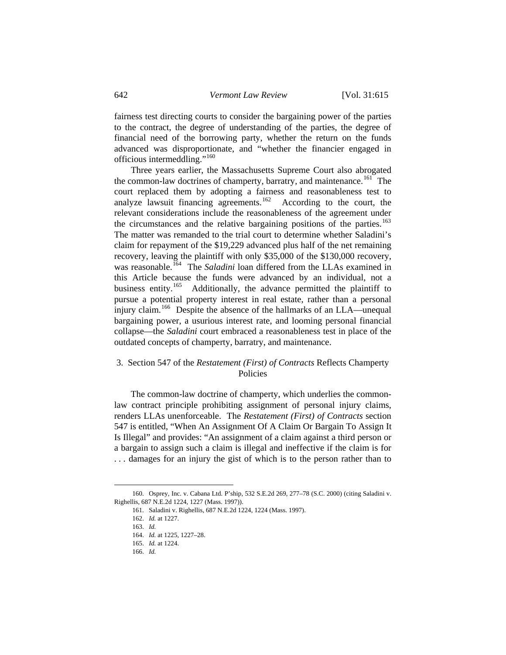fairness test directing courts to consider the bargaining power of the parties to the contract, the degree of understanding of the parties, the degree of financial need of the borrowing party, whether the return on the funds advanced was disproportionate, and "whether the financier engaged in officious intermeddling."<sup>[160](#page-27-0)</sup>

 Three years earlier, the Massachusetts Supreme Court also abrogated the common-law doctrines of champerty, barratry, and maintenance.<sup>[161](#page-27-1)</sup> The court replaced them by adopting a fairness and reasonableness test to analyze lawsuit financing agreements.<sup>[162](#page-27-2)</sup> According to the court, the relevant considerations include the reasonableness of the agreement under the circumstances and the relative bargaining positions of the parties.<sup>[163](#page-27-3)</sup> The matter was remanded to the trial court to determine whether Saladini's claim for repayment of the \$19,229 advanced plus half of the net remaining recovery, leaving the plaintiff with only \$35,000 of the \$130,000 recovery, was reasonable.<sup>[164](#page-27-4)</sup> The *Saladini* loan differed from the LLAs examined in this Article because the funds were advanced by an individual, not a business entity.<sup>165</sup> Additionally, the advance permitted the plaintiff to Additionally, the advance permitted the plaintiff to pursue a potential property interest in real estate, rather than a personal injury claim.<sup>[166](#page-27-6)</sup> Despite the absence of the hallmarks of an LLA—unequal bargaining power, a usurious interest rate, and looming personal financial collapse—the *Saladini* court embraced a reasonableness test in place of the outdated concepts of champerty, barratry, and maintenance.

# 3. Section 547 of the *Restatement (First) of Contracts* Reflects Champerty Policies

 The common-law doctrine of champerty, which underlies the commonlaw contract principle prohibiting assignment of personal injury claims, renders LLAs unenforceable. The *Restatement (First) of Contracts* section 547 is entitled, "When An Assignment Of A Claim Or Bargain To Assign It Is Illegal" and provides: "An assignment of a claim against a third person or a bargain to assign such a claim is illegal and ineffective if the claim is for . . . damages for an injury the gist of which is to the person rather than to

<span id="page-27-6"></span><span id="page-27-5"></span><span id="page-27-4"></span><span id="page-27-3"></span><span id="page-27-2"></span><span id="page-27-1"></span><span id="page-27-0"></span> <sup>160.</sup> Osprey, Inc. v. Cabana Ltd. P'ship, 532 S.E.2d 269, 277–78 (S.C. 2000) (citing Saladini v. Righellis, 687 N.E.2d 1224, 1227 (Mass. 1997)).

 <sup>161.</sup> Saladini v. Righellis, 687 N.E.2d 1224, 1224 (Mass. 1997).

 <sup>162.</sup> *Id.* at 1227.

 <sup>163.</sup> *Id.*

 <sup>164.</sup> *Id.* at 1225, 1227–28.

 <sup>165.</sup> *Id.* at 1224.

 <sup>166.</sup> *Id.*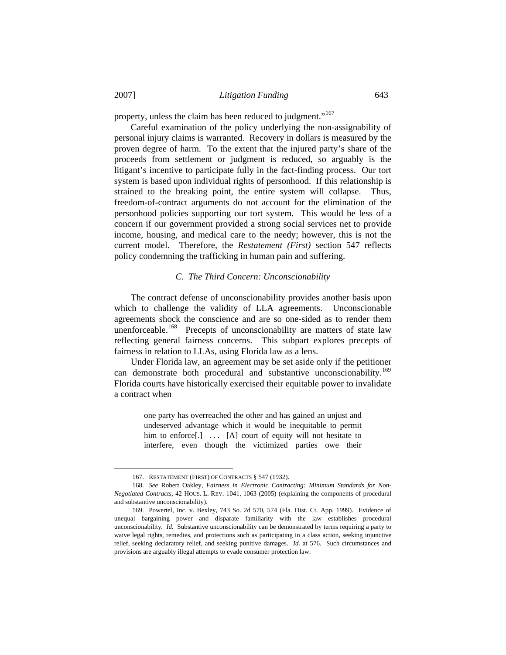property, unless the claim has been reduced to judgment."<sup>[167](#page-28-0)</sup>

 Careful examination of the policy underlying the non-assignability of personal injury claims is warranted. Recovery in dollars is measured by the proven degree of harm. To the extent that the injured party's share of the proceeds from settlement or judgment is reduced, so arguably is the litigant's incentive to participate fully in the fact-finding process. Our tort system is based upon individual rights of personhood. If this relationship is strained to the breaking point, the entire system will collapse. Thus, freedom-of-contract arguments do not account for the elimination of the personhood policies supporting our tort system. This would be less of a concern if our government provided a strong social services net to provide income, housing, and medical care to the needy; however, this is not the current model. Therefore, the *Restatement (First)* section 547 reflects policy condemning the trafficking in human pain and suffering.

## *C. The Third Concern: Unconscionability*

 The contract defense of unconscionability provides another basis upon which to challenge the validity of LLA agreements. Unconscionable agreements shock the conscience and are so one-sided as to render them unenforceable.<sup>[168](#page-28-1)</sup> Precepts of unconscionability are matters of state law reflecting general fairness concerns. This subpart explores precepts of fairness in relation to LLAs, using Florida law as a lens.

 Under Florida law, an agreement may be set aside only if the petitioner can demonstrate both procedural and substantive unconscionability.<sup>[169](#page-28-2)</sup> Florida courts have historically exercised their equitable power to invalidate a contract when

> one party has overreached the other and has gained an unjust and undeserved advantage which it would be inequitable to permit him to enforce[.]  $\ldots$  [A] court of equity will not hesitate to interfere, even though the victimized parties owe their

 <sup>167.</sup> RESTATEMENT (FIRST) OF CONTRACTS § 547 (1932).

<span id="page-28-1"></span><span id="page-28-0"></span> <sup>168.</sup> *See* Robert Oakley, *Fairness in Electronic Contracting: Minimum Standards for Non-Negotiated Contracts*, 42 HOUS. L. REV. 1041, 1063 (2005) (explaining the components of procedural and substantive unconscionability).

<span id="page-28-2"></span> <sup>169.</sup> Powertel, Inc. v. Bexley, 743 So. 2d 570, 574 (Fla. Dist. Ct. App. 1999). Evidence of unequal bargaining power and disparate familiarity with the law establishes procedural unconscionability*. Id.* Substantive unconscionability can be demonstrated by terms requiring a party to waive legal rights, remedies, and protections such as participating in a class action, seeking injunctive relief, seeking declaratory relief, and seeking punitive damages. *Id.* at 576. Such circumstances and provisions are arguably illegal attempts to evade consumer protection law.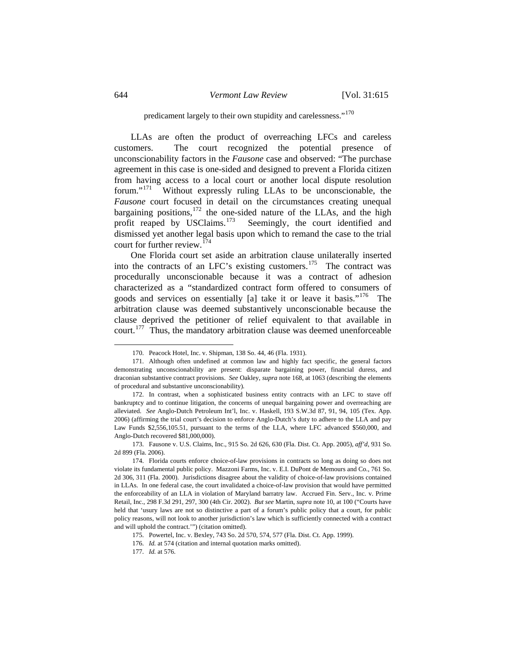# predicament largely to their own stupidity and carelessness."<sup>[170](#page-29-0)</sup>

 LLAs are often the product of overreaching LFCs and careless customers. The court recognized the potential presence of unconscionability factors in the *Fausone* case and observed: "The purchase agreement in this case is one-sided and designed to prevent a Florida citizen from having access to a local court or another local dispute resolution forum."<sup>[171](#page-29-1)</sup> Without expressly ruling LLAs to be unconscionable, the *Fausone* court focused in detail on the circumstances creating unequal bargaining positions, $172$  the one-sided nature of the LLAs, and the high profit reaped by USClaims.<sup>[173](#page-29-3)</sup> Seemingly, the court identified and dismissed yet another legal basis upon which to remand the case to the trial court for further review.<sup>[174](#page-29-4)</sup>

 One Florida court set aside an arbitration clause unilaterally inserted into the contracts of an LFC's existing customers.<sup>[175](#page-29-5)</sup> The contract was procedurally unconscionable because it was a contract of adhesion characterized as a "standardized contract form offered to consumers of goods and services on essentially [a] take it or leave it basis."[176](#page-29-6) The arbitration clause was deemed substantively unconscionable because the clause deprived the petitioner of relief equivalent to that available in court.[177](#page-29-7) Thus, the mandatory arbitration clause was deemed unenforceable

 <sup>170.</sup> Peacock Hotel, Inc. v. Shipman, 138 So. 44, 46 (Fla. 1931).

<span id="page-29-1"></span><span id="page-29-0"></span> <sup>171.</sup> Although often undefined at common law and highly fact specific, the general factors demonstrating unconscionability are present: disparate bargaining power, financial duress, and draconian substantive contract provisions. *See* Oakley, *supra* note 168, at 1063 (describing the elements of procedural and substantive unconscionability)*.*

<span id="page-29-2"></span> <sup>172.</sup> In contrast, when a sophisticated business entity contracts with an LFC to stave off bankruptcy and to continue litigation, the concerns of unequal bargaining power and overreaching are alleviated. *See* Anglo-Dutch Petroleum Int'l, Inc. v. Haskell, 193 S.W.3d 87, 91, 94, 105 (Tex. App. 2006) (affirming the trial court's decision to enforce Anglo-Dutch's duty to adhere to the LLA and pay Law Funds \$2,556,105.51, pursuant to the terms of the LLA, where LFC advanced \$560,000, and Anglo-Dutch recovered \$81,000,000).

<span id="page-29-3"></span> <sup>173.</sup> Fausone v. U.S. Claims, Inc., 915 So. 2d 626, 630 (Fla. Dist. Ct. App. 2005), *aff'd*, 931 So. 2d 899 (Fla. 2006).

<span id="page-29-4"></span> <sup>174.</sup> Florida courts enforce choice-of-law provisions in contracts so long as doing so does not violate its fundamental public policy. Mazzoni Farms, Inc. v. E.I. DuPont de Memours and Co., 761 So. 2d 306, 311 (Fla. 2000). Jurisdictions disagree about the validity of choice-of-law provisions contained in LLAs. In one federal case, the court invalidated a choice-of-law provision that would have permitted the enforceability of an LLA in violation of Maryland barratry law. Accrued Fin. Serv., Inc. v. Prime Retail, Inc., 298 F.3d 291, 297, 300 (4th Cir. 2002). *But see* Martin, *supra* note 10, at 100 ("Courts have held that 'usury laws are not so distinctive a part of a forum's public policy that a court, for public policy reasons, will not look to another jurisdiction's law which is sufficiently connected with a contract and will uphold the contract.'") (citation omitted).

<span id="page-29-5"></span> <sup>175.</sup> Powertel, Inc. v. Bexley, 743 So. 2d 570, 574, 577 (Fla. Dist. Ct. App. 1999).

<span id="page-29-6"></span> <sup>176.</sup> *Id.* at 574 (citation and internal quotation marks omitted).

<span id="page-29-7"></span> <sup>177.</sup> *Id.* at 576.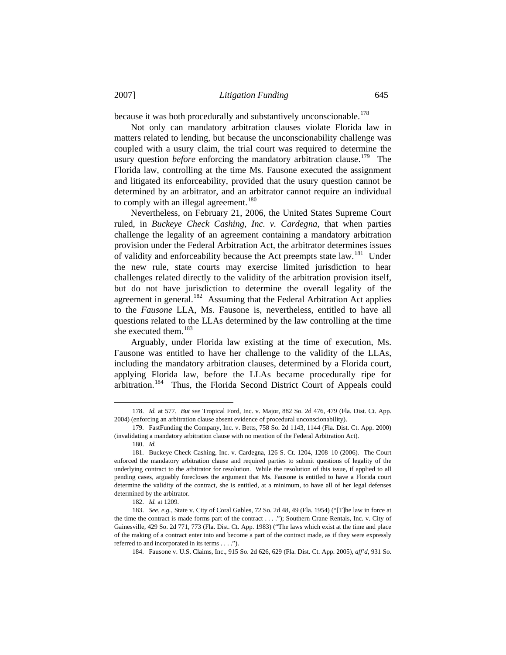because it was both procedurally and substantively unconscionable.<sup>[178](#page-30-0)</sup>

 Not only can mandatory arbitration clauses violate Florida law in matters related to lending, but because the unconscionability challenge was coupled with a usury claim, the trial court was required to determine the usury question *before* enforcing the mandatory arbitration clause.<sup>[179](#page-30-1)</sup> The Florida law, controlling at the time Ms. Fausone executed the assignment and litigated its enforceability, provided that the usury question cannot be determined by an arbitrator, and an arbitrator cannot require an individual to comply with an illegal agreement.<sup>[180](#page-30-2)</sup>

 Nevertheless, on February 21, 2006, the United States Supreme Court ruled, in *Buckeye Check Cashing, Inc. v. Cardegna*, that when parties challenge the legality of an agreement containing a mandatory arbitration provision under the Federal Arbitration Act, the arbitrator determines issues of validity and enforceability because the Act preempts state law.<sup>[181](#page-30-3)</sup> Under the new rule, state courts may exercise limited jurisdiction to hear challenges related directly to the validity of the arbitration provision itself, but do not have jurisdiction to determine the overall legality of the agreement in general.<sup>[182](#page-30-4)</sup> Assuming that the Federal Arbitration Act applies to the *Fausone* LLA, Ms. Fausone is, nevertheless, entitled to have all questions related to the LLAs determined by the law controlling at the time she executed them.<sup>[183](#page-30-5)</sup>

 Arguably, under Florida law existing at the time of execution, Ms. Fausone was entitled to have her challenge to the validity of the LLAs, including the mandatory arbitration clauses, determined by a Florida court, applying Florida law, before the LLAs became procedurally ripe for arbitration.[184](#page-30-6) Thus, the Florida Second District Court of Appeals could

 $\overline{\phantom{a}}$ 

<span id="page-30-0"></span> <sup>178.</sup> *Id.* at 577. *But see* Tropical Ford, Inc. v. Major, 882 So. 2d 476, 479 (Fla. Dist. Ct. App. 2004) (enforcing an arbitration clause absent evidence of procedural unconscionability).

<span id="page-30-1"></span> <sup>179.</sup> FastFunding the Company, Inc. v. Betts, 758 So. 2d 1143, 1144 (Fla. Dist. Ct. App. 2000) (invalidating a mandatory arbitration clause with no mention of the Federal Arbitration Act).

 <sup>180.</sup> *Id.*

<span id="page-30-3"></span><span id="page-30-2"></span> <sup>181.</sup> Buckeye Check Cashing, Inc. v. Cardegna, 126 S. Ct. 1204, 1208–10 (2006)*.* The Court enforced the mandatory arbitration clause and required parties to submit questions of legality of the underlying contract to the arbitrator for resolution. While the resolution of this issue, if applied to all pending cases, arguably forecloses the argument that Ms. Fausone is entitled to have a Florida court determine the validity of the contract, she is entitled, at a minimum, to have all of her legal defenses determined by the arbitrator.

 <sup>182.</sup> *Id.* at 1209.

<span id="page-30-6"></span><span id="page-30-5"></span><span id="page-30-4"></span> <sup>183.</sup> *See, e.g.*, State v. City of Coral Gables, 72 So. 2d 48, 49 (Fla. 1954) ("[T]he law in force at the time the contract is made forms part of the contract . . . ."); Southern Crane Rentals, Inc. v. City of Gainesville, 429 So. 2d 771, 773 (Fla. Dist. Ct. App. 1983) ("The laws which exist at the time and place of the making of a contract enter into and become a part of the contract made, as if they were expressly referred to and incorporated in its terms . . . .").

 <sup>184.</sup> Fausone v. U.S. Claims, Inc., 915 So. 2d 626, 629 (Fla. Dist. Ct. App. 2005), *aff'd*, 931 So.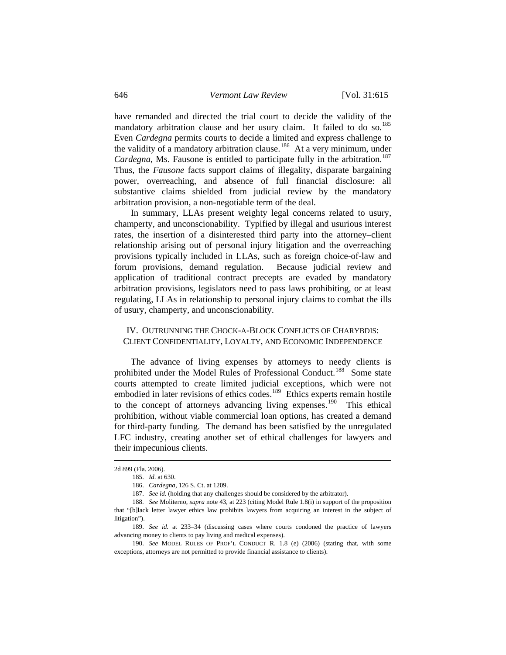have remanded and directed the trial court to decide the validity of the mandatory arbitration clause and her usury claim. It failed to do so.<sup>[185](#page-31-0)</sup> Even *Cardegna* permits courts to decide a limited and express challenge to the validity of a mandatory arbitration clause.<sup>[186](#page-31-1)</sup> At a very minimum, under *Cardegna*, Ms. Fausone is entitled to participate fully in the arbitration.<sup>[187](#page-31-2)</sup> Thus, the *Fausone* facts support claims of illegality, disparate bargaining power, overreaching, and absence of full financial disclosure: all substantive claims shielded from judicial review by the mandatory arbitration provision, a non-negotiable term of the deal.

 In summary, LLAs present weighty legal concerns related to usury, champerty, and unconscionability. Typified by illegal and usurious interest rates, the insertion of a disinterested third party into the attorney–client relationship arising out of personal injury litigation and the overreaching provisions typically included in LLAs, such as foreign choice-of-law and forum provisions, demand regulation. Because judicial review and application of traditional contract precepts are evaded by mandatory arbitration provisions, legislators need to pass laws prohibiting, or at least regulating, LLAs in relationship to personal injury claims to combat the ills of usury, champerty, and unconscionability.

# IV. OUTRUNNING THE CHOCK-A-BLOCK CONFLICTS OF CHARYBDIS: CLIENT CONFIDENTIALITY, LOYALTY, AND ECONOMIC INDEPENDENCE

 The advance of living expenses by attorneys to needy clients is prohibited under the Model Rules of Professional Conduct.<sup>[188](#page-31-3)</sup> Some state courts attempted to create limited judicial exceptions, which were not embodied in later revisions of ethics codes.<sup>[189](#page-31-4)</sup> Ethics experts remain hostile to the concept of attorneys advancing living expenses.<sup>[190](#page-31-5)</sup> This ethical prohibition, without viable commercial loan options, has created a demand for third-party funding. The demand has been satisfied by the unregulated LFC industry, creating another set of ethical challenges for lawyers and their impecunious clients.

<span id="page-31-1"></span><span id="page-31-0"></span><sup>2</sup>d 899 (Fla. 2006).

 <sup>185.</sup> *Id*. at 630.

 <sup>186.</sup> *Cardegna*, 126 S. Ct. at 1209.

 <sup>187.</sup> *See id*. (holding that any challenges should be considered by the arbitrator).

<span id="page-31-3"></span><span id="page-31-2"></span> <sup>188.</sup> *See* Moliterno, *supra* note 43, at 223 (citing Model Rule 1.8(i) in support of the proposition that "[b]lack letter lawyer ethics law prohibits lawyers from acquiring an interest in the subject of litigation").

<span id="page-31-4"></span> <sup>189.</sup> *See id.* at 233–34 (discussing cases where courts condoned the practice of lawyers advancing money to clients to pay living and medical expenses).

<span id="page-31-5"></span> <sup>190.</sup> *See* MODEL RULES OF PROF'L CONDUCT R. 1.8 (e) (2006) (stating that, with some exceptions, attorneys are not permitted to provide financial assistance to clients).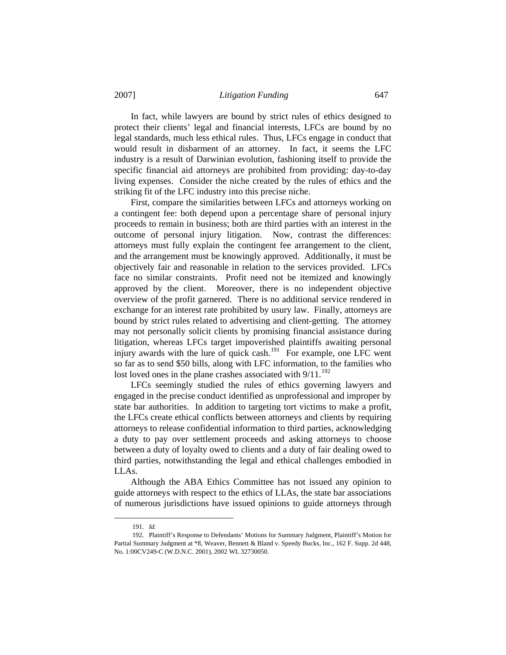In fact, while lawyers are bound by strict rules of ethics designed to protect their clients' legal and financial interests, LFCs are bound by no legal standards, much less ethical rules. Thus, LFCs engage in conduct that would result in disbarment of an attorney. In fact, it seems the LFC industry is a result of Darwinian evolution, fashioning itself to provide the specific financial aid attorneys are prohibited from providing: day-to-day living expenses. Consider the niche created by the rules of ethics and the striking fit of the LFC industry into this precise niche.

 First, compare the similarities between LFCs and attorneys working on a contingent fee: both depend upon a percentage share of personal injury proceeds to remain in business; both are third parties with an interest in the outcome of personal injury litigation. Now, contrast the differences: attorneys must fully explain the contingent fee arrangement to the client, and the arrangement must be knowingly approved. Additionally, it must be objectively fair and reasonable in relation to the services provided. LFCs face no similar constraints. Profit need not be itemized and knowingly approved by the client. Moreover, there is no independent objective overview of the profit garnered. There is no additional service rendered in exchange for an interest rate prohibited by usury law. Finally, attorneys are bound by strict rules related to advertising and client-getting. The attorney may not personally solicit clients by promising financial assistance during litigation, whereas LFCs target impoverished plaintiffs awaiting personal injury awards with the lure of quick cash.<sup>[191](#page-32-0)</sup> For example, one LFC went so far as to send \$50 bills, along with LFC information, to the families who lost loved ones in the plane crashes associated with  $9/11$ .<sup>[192](#page-32-1)</sup>

 LFCs seemingly studied the rules of ethics governing lawyers and engaged in the precise conduct identified as unprofessional and improper by state bar authorities. In addition to targeting tort victims to make a profit, the LFCs create ethical conflicts between attorneys and clients by requiring attorneys to release confidential information to third parties, acknowledging a duty to pay over settlement proceeds and asking attorneys to choose between a duty of loyalty owed to clients and a duty of fair dealing owed to third parties, notwithstanding the legal and ethical challenges embodied in LLAs.

 Although the ABA Ethics Committee has not issued any opinion to guide attorneys with respect to the ethics of LLAs, the state bar associations of numerous jurisdictions have issued opinions to guide attorneys through

 <sup>191.</sup> *Id.*

<span id="page-32-1"></span><span id="page-32-0"></span> <sup>192.</sup> Plaintiff's Response to Defendants' Motions for Summary Judgment, Plaintiff's Motion for Partial Summary Judgment at \*8, Weaver, Bennett & Bland v. Speedy Bucks, Inc., 162 F. Supp. 2d 448, No. 1:00CV249-C (W.D.N.C. 2001), 2002 WL 32730050.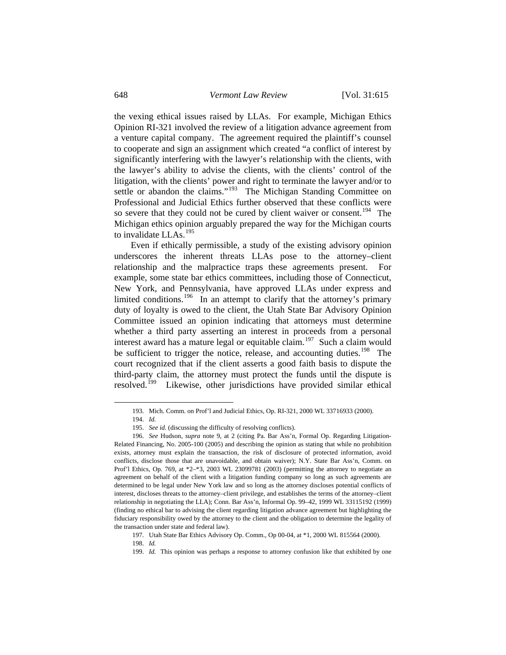the vexing ethical issues raised by LLAs. For example, Michigan Ethics Opinion RI-321 involved the review of a litigation advance agreement from a venture capital company. The agreement required the plaintiff's counsel to cooperate and sign an assignment which created "a conflict of interest by significantly interfering with the lawyer's relationship with the clients, with the lawyer's ability to advise the clients, with the clients' control of the litigation, with the clients' power and right to terminate the lawyer and/or to settle or abandon the claims."<sup>[193](#page-33-0)</sup> The Michigan Standing Committee on Professional and Judicial Ethics further observed that these conflicts were so severe that they could not be cured by client waiver or consent.<sup>[194](#page-33-1)</sup> The Michigan ethics opinion arguably prepared the way for the Michigan courts to invalidate LLAs.<sup>[195](#page-33-2)</sup>

 Even if ethically permissible, a study of the existing advisory opinion underscores the inherent threats LLAs pose to the attorney–client relationship and the malpractice traps these agreements present. For example, some state bar ethics committees, including those of Connecticut, New York, and Pennsylvania, have approved LLAs under express and limited conditions.<sup>[196](#page-33-3)</sup> In an attempt to clarify that the attorney's primary duty of loyalty is owed to the client, the Utah State Bar Advisory Opinion Committee issued an opinion indicating that attorneys must determine whether a third party asserting an interest in proceeds from a personal interest award has a mature legal or equitable claim.<sup>[197](#page-33-4)</sup> Such a claim would be sufficient to trigger the notice, release, and accounting duties.<sup>[198](#page-33-5)</sup> The court recognized that if the client asserts a good faith basis to dispute the third-party claim, the attorney must protect the funds until the dispute is resolved.[199](#page-33-6) Likewise, other jurisdictions have provided similar ethical

<span id="page-33-0"></span> $\overline{\phantom{a}}$ 

 <sup>193.</sup> Mich. Comm. on Prof'l and Judicial Ethics, Op. RI-321, 2000 WL 33716933 (2000).

 <sup>194.</sup> *Id.*

 <sup>195.</sup> *See id.* (discussing the difficulty of resolving conflicts).

<span id="page-33-3"></span><span id="page-33-2"></span><span id="page-33-1"></span> <sup>196.</sup> *See* Hudson, *supra* note 9, at 2 (citing Pa. Bar Ass'n, Formal Op. Regarding Litigation-Related Financing, No. 2005-100 (2005) and describing the opinion as stating that while no prohibition exists, attorney must explain the transaction, the risk of disclosure of protected information, avoid conflicts, disclose those that are unavoidable, and obtain waiver); N.Y. State Bar Ass'n, Comm. on Prof'l Ethics, Op. 769, at \*2–\*3, 2003 WL 23099781 (2003) (permitting the attorney to negotiate an agreement on behalf of the client with a litigation funding company so long as such agreements are determined to be legal under New York law and so long as the attorney discloses potential conflicts of interest, discloses threats to the attorney–client privilege, and establishes the terms of the attorney–client relationship in negotiating the LLA); Conn. Bar Ass'n, Informal Op. 99–42, 1999 WL 33115192 (1999) (finding no ethical bar to advising the client regarding litigation advance agreement but highlighting the fiduciary responsibility owed by the attorney to the client and the obligation to determine the legality of the transaction under state and federal law).

<span id="page-33-4"></span> <sup>197.</sup> Utah State Bar Ethics Advisory Op. Comm., Op 00-04, at \*1, 2000 WL 815564 (2000).

<span id="page-33-5"></span> <sup>198.</sup> *Id.*

<span id="page-33-6"></span> <sup>199.</sup> *Id.* This opinion was perhaps a response to attorney confusion like that exhibited by one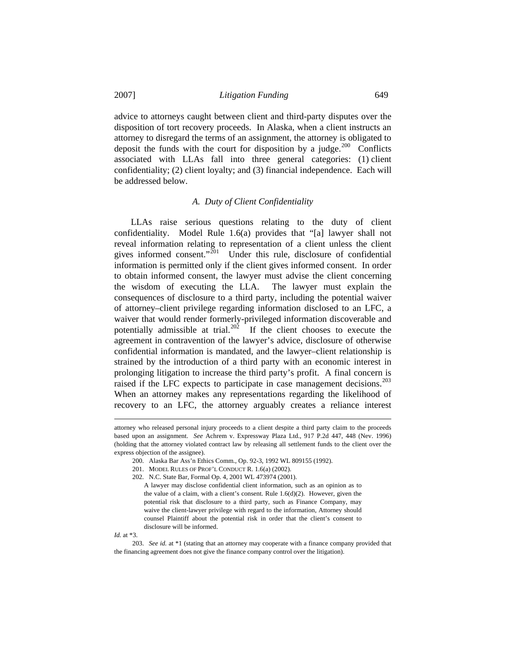advice to attorneys caught between client and third-party disputes over the disposition of tort recovery proceeds. In Alaska, when a client instructs an attorney to disregard the terms of an assignment, the attorney is obligated to deposit the funds with the court for disposition by a judge.<sup>[200](#page-34-0)</sup> Conflicts associated with LLAs fall into three general categories: (1) client confidentiality; (2) client loyalty; and (3) financial independence. Each will be addressed below.

#### *A. Duty of Client Confidentiality*

 LLAs raise serious questions relating to the duty of client confidentiality. Model Rule 1.6(a) provides that "[a] lawyer shall not reveal information relating to representation of a client unless the client gives informed consent."<sup>[201](#page-34-1)</sup> Under this rule, disclosure of confidential information is permitted only if the client gives informed consent. In order to obtain informed consent, the lawyer must advise the client concerning the wisdom of executing the LLA. The lawyer must explain the consequences of disclosure to a third party, including the potential waiver of attorney–client privilege regarding information disclosed to an LFC, a waiver that would render formerly-privileged information discoverable and potentially admissible at trial.<sup>[202](#page-34-2)</sup> If the client chooses to execute the agreement in contravention of the lawyer's advice, disclosure of otherwise confidential information is mandated, and the lawyer–client relationship is strained by the introduction of a third party with an economic interest in prolonging litigation to increase the third party's profit. A final concern is raised if the LFC expects to participate in case management decisions.<sup>[203](#page-34-3)</sup> When an attorney makes any representations regarding the likelihood of recovery to an LFC, the attorney arguably creates a reliance interest

*Id.* at \*3.

<span id="page-34-2"></span><span id="page-34-1"></span><span id="page-34-0"></span>attorney who released personal injury proceeds to a client despite a third party claim to the proceeds based upon an assignment. *See* Achrem v. Expressway Plaza Ltd., 917 P.2d 447, 448 (Nev. 1996) (holding that the attorney violated contract law by releasing all settlement funds to the client over the express objection of the assignee).

 <sup>200.</sup> Alaska Bar Ass'n Ethics Comm., Op. 92-3, 1992 WL 809155 (1992).

 <sup>201.</sup> MODEL RULES OF PROF'L CONDUCT R. 1.6(a) (2002).

 <sup>202.</sup> N.C. State Bar, Formal Op. 4, 2001 WL 473974 (2001).

A lawyer may disclose confidential client information, such as an opinion as to the value of a claim, with a client's consent. Rule 1.6(d)(2). However, given the potential risk that disclosure to a third party, such as Finance Company, may waive the client-lawyer privilege with regard to the information, Attorney should counsel Plaintiff about the potential risk in order that the client's consent to disclosure will be informed.

<span id="page-34-3"></span> <sup>203.</sup> *See id.* at \*1 (stating that an attorney may cooperate with a finance company provided that the financing agreement does not give the finance company control over the litigation).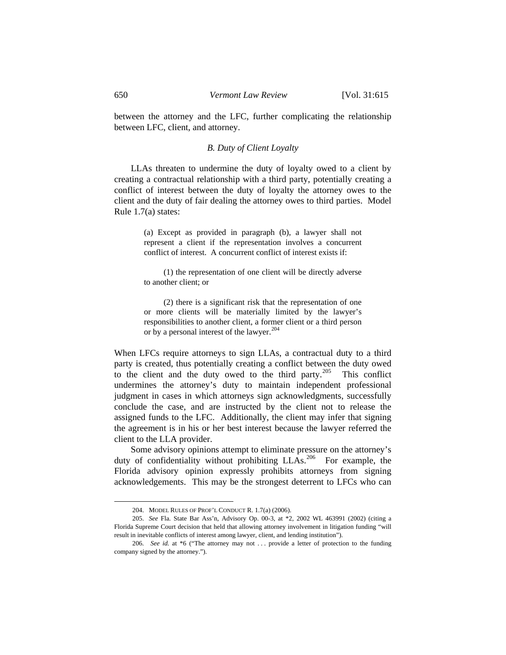between the attorney and the LFC, further complicating the relationship between LFC, client, and attorney.

# *B. Duty of Client Loyalty*

 LLAs threaten to undermine the duty of loyalty owed to a client by creating a contractual relationship with a third party, potentially creating a conflict of interest between the duty of loyalty the attorney owes to the client and the duty of fair dealing the attorney owes to third parties. Model Rule 1.7(a) states:

> (a) Except as provided in paragraph (b), a lawyer shall not represent a client if the representation involves a concurrent conflict of interest. A concurrent conflict of interest exists if:

> (1) the representation of one client will be directly adverse to another client; or

> (2) there is a significant risk that the representation of one or more clients will be materially limited by the lawyer's responsibilities to another client, a former client or a third person or by a personal interest of the lawyer.<sup>[204](#page-35-0)</sup>

When LFCs require attorneys to sign LLAs, a contractual duty to a third party is created, thus potentially creating a conflict between the duty owed to the client and the duty owed to the third party.<sup>[205](#page-35-1)</sup> This conflict undermines the attorney's duty to maintain independent professional judgment in cases in which attorneys sign acknowledgments, successfully conclude the case, and are instructed by the client not to release the assigned funds to the LFC. Additionally, the client may infer that signing the agreement is in his or her best interest because the lawyer referred the client to the LLA provider.

 Some advisory opinions attempt to eliminate pressure on the attorney's duty of confidentiality without prohibiting LLAs.<sup>[206](#page-35-2)</sup> For example, the Florida advisory opinion expressly prohibits attorneys from signing acknowledgements. This may be the strongest deterrent to LFCs who can

 $\overline{\phantom{a}}$ 

 <sup>204.</sup> MODEL RULES OF PROF'L CONDUCT R. 1.7(a) (2006).

<span id="page-35-1"></span><span id="page-35-0"></span> <sup>205.</sup> *See* Fla. State Bar Ass'n, Advisory Op. 00-3, at \*2, 2002 WL 463991 (2002) (citing a Florida Supreme Court decision that held that allowing attorney involvement in litigation funding "will result in inevitable conflicts of interest among lawyer, client, and lending institution").

<span id="page-35-2"></span><sup>206.</sup> *See id.* at \*6 ("The attorney may not ... provide a letter of protection to the funding company signed by the attorney.").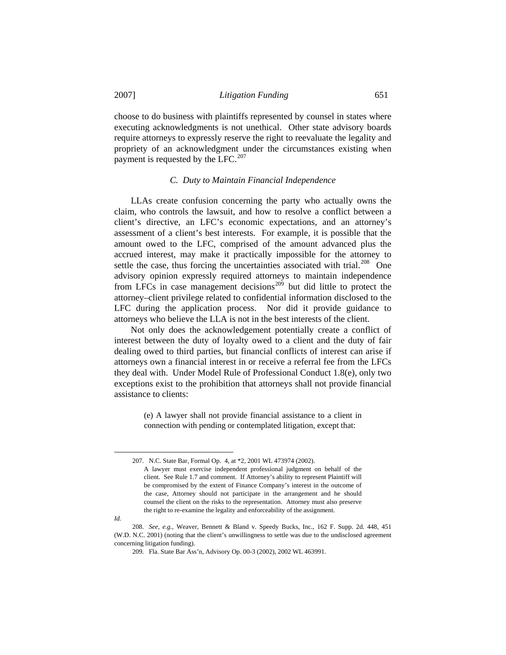choose to do business with plaintiffs represented by counsel in states where executing acknowledgments is not unethical. Other state advisory boards require attorneys to expressly reserve the right to reevaluate the legality and propriety of an acknowledgment under the circumstances existing when payment is requested by the LFC.<sup>[207](#page-36-0)</sup>

### *C. Duty to Maintain Financial Independence*

 LLAs create confusion concerning the party who actually owns the claim, who controls the lawsuit, and how to resolve a conflict between a client's directive, an LFC's economic expectations, and an attorney's assessment of a client's best interests. For example, it is possible that the amount owed to the LFC, comprised of the amount advanced plus the accrued interest, may make it practically impossible for the attorney to settle the case, thus forcing the uncertainties associated with trial.<sup>[208](#page-36-1)</sup> One advisory opinion expressly required attorneys to maintain independence from LFCs in case management decisions<sup> $209$ </sup> but did little to protect the attorney–client privilege related to confidential information disclosed to the LFC during the application process. Nor did it provide guidance to attorneys who believe the LLA is not in the best interests of the client.

 Not only does the acknowledgement potentially create a conflict of interest between the duty of loyalty owed to a client and the duty of fair dealing owed to third parties, but financial conflicts of interest can arise if attorneys own a financial interest in or receive a referral fee from the LFCs they deal with. Under Model Rule of Professional Conduct 1.8(e), only two exceptions exist to the prohibition that attorneys shall not provide financial assistance to clients:

> (e) A lawyer shall not provide financial assistance to a client in connection with pending or contemplated litigation, except that:

<span id="page-36-0"></span> $\overline{\phantom{a}}$ 

 <sup>207.</sup> N.C. State Bar, Formal Op. 4, at \*2, 2001 WL 473974 (2002).

A lawyer must exercise independent professional judgment on behalf of the client. See Rule 1.7 and comment. If Attorney's ability to represent Plaintiff will be compromised by the extent of Finance Company's interest in the outcome of the case, Attorney should not participate in the arrangement and he should counsel the client on the risks to the representation. Attorney must also preserve the right to re-examine the legality and enforceability of the assignment.

*Id.* 

<span id="page-36-2"></span><span id="page-36-1"></span> <sup>208.</sup> *See, e.g.*, Weaver, Bennett & Bland v. Speedy Bucks, Inc., 162 F. Supp. 2d. 448, 451 (W.D. N.C. 2001) (noting that the client's unwillingness to settle was due to the undisclosed agreement concerning litigation funding).

 <sup>209.</sup> Fla. State Bar Ass'n, Advisory Op. 00-3 (2002), 2002 WL 463991.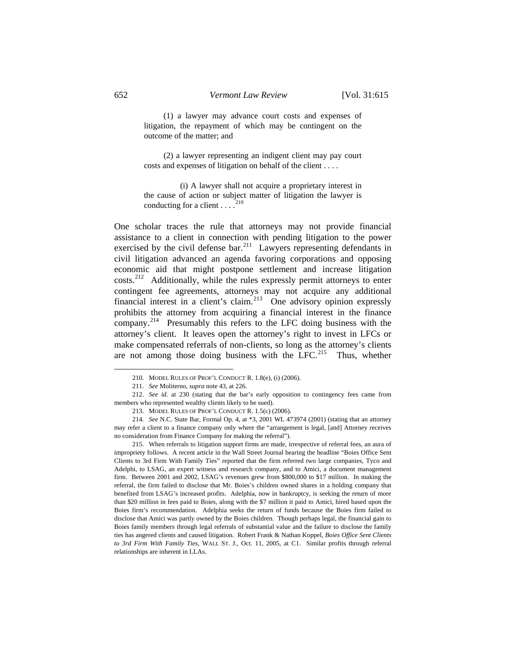(1) a lawyer may advance court costs and expenses of litigation, the repayment of which may be contingent on the outcome of the matter; and

 (2) a lawyer representing an indigent client may pay court costs and expenses of litigation on behalf of the client . . . .

 (i) A lawyer shall not acquire a proprietary interest in the cause of action or subject matter of litigation the lawyer is conducting for a client  $\ldots$ <sup>[210](#page-37-0)</sup>

One scholar traces the rule that attorneys may not provide financial assistance to a client in connection with pending litigation to the power exercised by the civil defense bar.<sup>[211](#page-37-1)</sup> Lawyers representing defendants in civil litigation advanced an agenda favoring corporations and opposing economic aid that might postpone settlement and increase litigation costs.<sup>[212](#page-37-2)</sup> Additionally, while the rules expressly permit attorneys to enter contingent fee agreements, attorneys may not acquire any additional financial interest in a client's claim.<sup>[213](#page-37-3)</sup> One advisory opinion expressly prohibits the attorney from acquiring a financial interest in the finance company.<sup>[214](#page-37-4)</sup> Presumably this refers to the LFC doing business with the attorney's client. It leaves open the attorney's right to invest in LFCs or make compensated referrals of non-clients, so long as the attorney's clients are not among those doing business with the LFC.<sup>[215](#page-37-5)</sup> Thus, whether

 <sup>210.</sup> MODEL RULES OF PROF'L CONDUCT R. 1.8(e), (i) (2006).

 <sup>211.</sup> *See* Moliterno, *supra* note 43, at 226.

<span id="page-37-2"></span><span id="page-37-1"></span><span id="page-37-0"></span> <sup>212.</sup> *See id.* at 230 (stating that the bar's early opposition to contingency fees came from members who represented wealthy clients likely to be sued).

 <sup>213.</sup> MODEL RULES OF PROF'L CONDUCT R. 1.5(c) (2006).

<span id="page-37-4"></span><span id="page-37-3"></span> <sup>214.</sup> *See* N.C. State Bar, Formal Op. 4, at \*3, 2001 WL 473974 (2001) (stating that an attorney may refer a client to a finance company only where the "arrangement is legal, [and] Attorney receives no consideration from Finance Company for making the referral").

<span id="page-37-5"></span> <sup>215.</sup> When referrals to litigation support firms are made, irrespective of referral fees, an aura of impropriety follows. A recent article in the Wall Street Journal bearing the headline "Boies Office Sent Clients to 3rd Firm With Family Ties" reported that the firm referred two large companies, Tyco and Adelphi, to LSAG, an expert witness and research company, and to Amici, a document management firm. Between 2001 and 2002, LSAG's revenues grew from \$800,000 to \$17 million. In making the referral, the firm failed to disclose that Mr. Boies's children owned shares in a holding company that benefited from LSAG's increased profits. Adelphia, now in bankruptcy, is seeking the return of more than \$20 million in fees paid to Boies, along with the \$7 million it paid to Amici, hired based upon the Boies firm's recommendation. Adelphia seeks the return of funds because the Boies firm failed to disclose that Amici was partly owned by the Boies children. Though perhaps legal, the financial gain to Boies family members through legal referrals of substantial value and the failure to disclose the family ties has angered clients and caused litigation. Robert Frank & Nathan Koppel, *Boies Office Sent Clients to 3rd Firm With Family Ties*, WALL ST. J., Oct. 11, 2005, at C1. Similar profits through referral relationships are inherent in LLAs.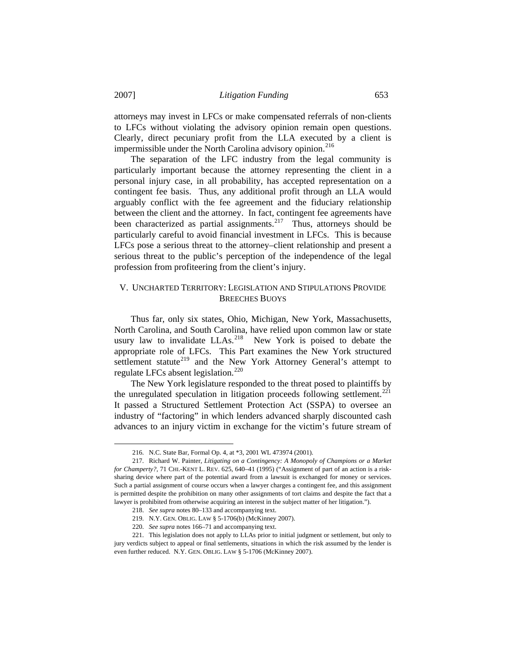impermissible under the North Carolina advisory opinion.<sup>216</sup> attorneys may invest in LFCs or make compensated referrals of non-clients to LFCs without violating the advisory opinion remain open questions. Clearly, direct pecuniary profit from the LLA executed by a client is

 The separation of the LFC industry from the legal community is particularly important because the attorney representing the client in a personal injury case, in all probability, has accepted representation on a contingent fee basis. Thus, any additional profit through an LLA would arguably conflict with the fee agreement and the fiduciary relationship between the client and the attorney. In fact, contingent fee agreements have been characterized as partial assignments.<sup>[217](#page-38-0)</sup> Thus, attorneys should be particularly careful to avoid financial investment in LFCs. This is because LFCs pose a serious threat to the attorney–client relationship and present a serious threat to the public's perception of the independence of the legal profession from profiteering from the client's injury.

# V. UNCHARTED TERRITORY: LEGISLATION AND STIPULATIONS PROVIDE BREECHES BUOYS

 Thus far, only six states, Ohio, Michigan, New York, Massachusetts, North Carolina, and South Carolina, have relied upon common law or state usury law to invalidate  $LLAs.<sup>218</sup>$  $LLAs.<sup>218</sup>$  $LLAs.<sup>218</sup>$  New York is poised to debate the appropriate role of LFCs. This Part examines the New York structured settlement statute<sup>[219](#page-38-2)</sup> and the New York Attorney General's attempt to regulate LFCs absent legislation.<sup>[220](#page-38-3)</sup>

 The New York legislature responded to the threat posed to plaintiffs by the unregulated speculation in litigation proceeds following settlement.<sup>[221](#page-38-4)</sup> It passed a Structured Settlement Protection Act (SSPA) to oversee an industry of "factoring" in which lenders advanced sharply discounted cash advances to an injury victim in exchange for the victim's future stream of

 <sup>216.</sup> N.C. State Bar, Formal Op. 4, at \*3, 2001 WL 473974 (2001).

<span id="page-38-0"></span> <sup>217.</sup> Richard W. Painter, *Litigating on a Contingency: A Monopoly of Champions or a Market for Champerty?*, 71 CHI.-KENT L. REV. 625, 640–41 (1995) ("Assignment of part of an action is a risksharing device where part of the potential award from a lawsuit is exchanged for money or services. Such a partial assignment of course occurs when a lawyer charges a contingent fee, and this assignment is permitted despite the prohibition on many other assignments of tort claims and despite the fact that a lawyer is prohibited from otherwise acquiring an interest in the subject matter of her litigation.").

 <sup>218.</sup> *See supra* notes 80–133 and accompanying text.

 <sup>219.</sup> N.Y. GEN. OBLIG. LAW § 5-1706(b) (McKinney 2007).

 <sup>220.</sup> *See supra* notes 166–71 and accompanying text.

<span id="page-38-4"></span><span id="page-38-3"></span><span id="page-38-2"></span><span id="page-38-1"></span> <sup>221.</sup> This legislation does not apply to LLAs prior to initial judgment or settlement, but only to jury verdicts subject to appeal or final settlements, situations in which the risk assumed by the lender is even further reduced. N.Y. GEN. OBLIG. LAW § 5-1706 (McKinney 2007).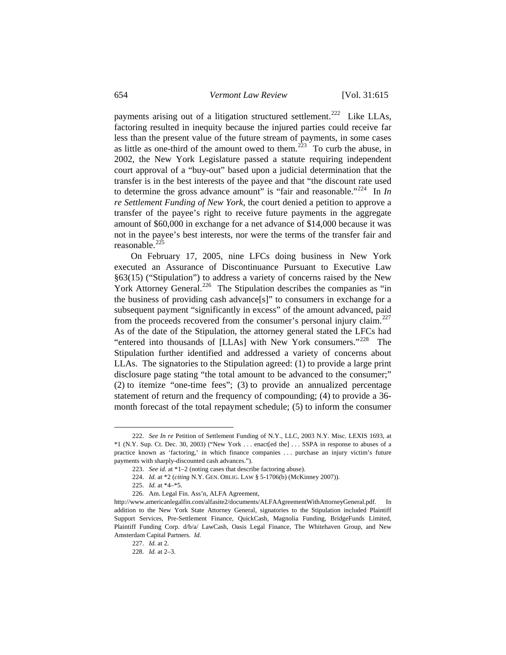payments arising out of a litigation structured settlement.<sup>[222](#page-39-0)</sup> Like LLAs, factoring resulted in inequity because the injured parties could receive far less than the present value of the future stream of payments, in some cases as little as one-third of the amount owed to them.<sup> $223$ </sup> To curb the abuse, in 2002, the New York Legislature passed a statute requiring independent court approval of a "buy-out" based upon a judicial determination that the transfer is in the best interests of the payee and that "the discount rate used to determine the gross advance amount" is "fair and reasonable."[224](#page-39-2) In *In re Settlement Funding of New York*, the court denied a petition to approve a transfer of the payee's right to receive future payments in the aggregate amount of \$60,000 in exchange for a net advance of \$14,000 because it was not in the payee's best interests, nor were the terms of the transfer fair and reasonable. $^{225}$  $^{225}$  $^{225}$ 

 On February 17, 2005, nine LFCs doing business in New York executed an Assurance of Discontinuance Pursuant to Executive Law §63(15) ("Stipulation") to address a variety of concerns raised by the New York Attorney General.<sup>[226](#page-39-4)</sup> The Stipulation describes the companies as "in the business of providing cash advance[s]" to consumers in exchange for a subsequent payment "significantly in excess" of the amount advanced, paid from the proceeds recovered from the consumer's personal injury claim.<sup>[227](#page-39-5)</sup> As of the date of the Stipulation, the attorney general stated the LFCs had "entered into thousands of [LLAs] with New York consumers."<sup>[228](#page-39-6)</sup> The Stipulation further identified and addressed a variety of concerns about LLAs. The signatories to the Stipulation agreed: (1) to provide a large print disclosure page stating "the total amount to be advanced to the consumer;" (2) to itemize "one-time fees"; (3) to provide an annualized percentage statement of return and the frequency of compounding; (4) to provide a 36 month forecast of the total repayment schedule; (5) to inform the consumer

 $\overline{\phantom{a}}$ 

<span id="page-39-1"></span><span id="page-39-0"></span> <sup>222.</sup> *See In re* Petition of Settlement Funding of N.Y., LLC, 2003 N.Y. Misc. LEXIS 1693, at \*1 (N.Y. Sup. Ct. Dec. 30, 2003) ("New York . . . enact[ed the] . . . SSPA in response to abuses of a practice known as 'factoring,' in which finance companies . . . purchase an injury victim's future payments with sharply-discounted cash advances.").

 <sup>223.</sup> *See id.* at \*1–2 (noting cases that describe factoring abuse).

 <sup>224.</sup> *Id.* at \*2 (*citing* N.Y. GEN. OBLIG. LAW § 5-1706(b) (McKinney 2007)).

 <sup>225.</sup> *Id.* at \*4–\*5.

 <sup>226.</sup> Am. Legal Fin. Ass'n, ALFA Agreement,

<span id="page-39-6"></span><span id="page-39-5"></span><span id="page-39-4"></span><span id="page-39-3"></span><span id="page-39-2"></span>http://www.americanlegalfin.com/alfasite2/documents/ALFAAgreementWithAttorneyGeneral.pdf. In addition to the New York State Attorney General, signatories to the Stipulation included Plaintiff Support Services, Pre-Settlement Finance, QuickCash, Magnolia Funding, BridgeFunds Limited, Plaintiff Funding Corp. d/b/a/ LawCash, Oasis Legal Finance, The Whitehaven Group, and New Amsterdam Capital Partners. *Id.*

 <sup>227.</sup> *Id.* at 2.

 <sup>228.</sup> *Id.* at 2–3.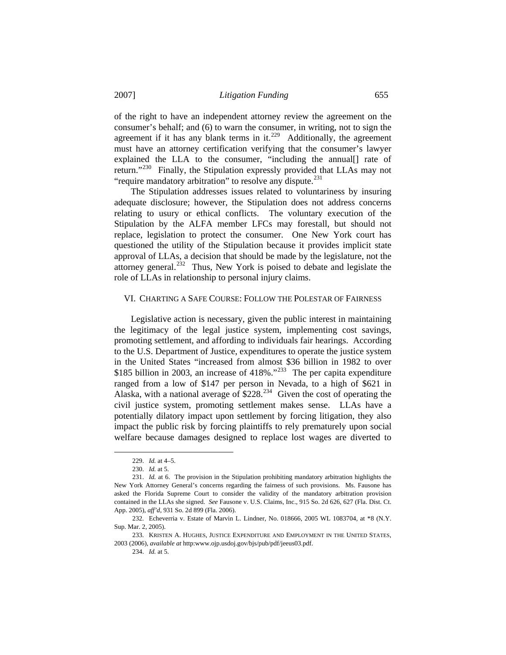of the right to have an independent attorney review the agreement on the consumer's behalf; and (6) to warn the consumer, in writing, not to sign the agreement if it has any blank terms in it.<sup>[229](#page-40-0)</sup> Additionally, the agreement must have an attorney certification verifying that the consumer's lawyer explained the LLA to the consumer, "including the annual[] rate of return."[230](#page-40-1) Finally, the Stipulation expressly provided that LLAs may not "require mandatory arbitration" to resolve any dispute.<sup>[231](#page-40-2)</sup>

 The Stipulation addresses issues related to voluntariness by insuring adequate disclosure; however, the Stipulation does not address concerns relating to usury or ethical conflicts. The voluntary execution of the Stipulation by the ALFA member LFCs may forestall, but should not replace, legislation to protect the consumer. One New York court has questioned the utility of the Stipulation because it provides implicit state approval of LLAs, a decision that should be made by the legislature, not the attorney general.<sup>[232](#page-40-3)</sup> Thus, New York is poised to debate and legislate the role of LLAs in relationship to personal injury claims.

#### VI. CHARTING A SAFE COURSE: FOLLOW THE POLESTAR OF FAIRNESS

 Legislative action is necessary, given the public interest in maintaining the legitimacy of the legal justice system, implementing cost savings, promoting settlement, and affording to individuals fair hearings. According to the U.S. Department of Justice, expenditures to operate the justice system in the United States "increased from almost \$36 billion in 1982 to over \$185 billion in 2003, an increase of  $418\%$ .<sup> $233$ </sup> The per capita expenditure ranged from a low of \$147 per person in Nevada, to a high of \$621 in Alaska, with a national average of  $$228<sup>234</sup>$  $$228<sup>234</sup>$  $$228<sup>234</sup>$  Given the cost of operating the civil justice system, promoting settlement makes sense. LLAs have a potentially dilatory impact upon settlement by forcing litigation, they also impact the public risk by forcing plaintiffs to rely prematurely upon social welfare because damages designed to replace lost wages are diverted to

 $\overline{\phantom{a}}$ 

234. *Id.* at 5.

 <sup>229.</sup> *Id.* at 4–5.

 <sup>230.</sup> *Id.* at 5.

<span id="page-40-2"></span><span id="page-40-1"></span><span id="page-40-0"></span> <sup>231.</sup> *Id.* at 6. The provision in the Stipulation prohibiting mandatory arbitration highlights the New York Attorney General's concerns regarding the fairness of such provisions. Ms. Fausone has asked the Florida Supreme Court to consider the validity of the mandatory arbitration provision contained in the LLAs she signed. *See* Fausone v. U.S. Claims, Inc., 915 So. 2d 626, 627 (Fla. Dist. Ct. App. 2005), *aff'd*, 931 So. 2d 899 (Fla. 2006).

<span id="page-40-3"></span> <sup>232.</sup> Echeverria v. Estate of Marvin L. Lindner, No. 018666, 2005 WL 1083704, at \*8 (N.Y. Sup. Mar. 2, 2005).

<span id="page-40-5"></span><span id="page-40-4"></span> <sup>233.</sup> KRISTEN A. HUGHES, JUSTICE EXPENDITURE AND EMPLOYMENT IN THE UNITED STATES, 2003 (2006), *available at* http:www.ojp.usdoj.gov/bjs/pub/pdf/jeeus03.pdf.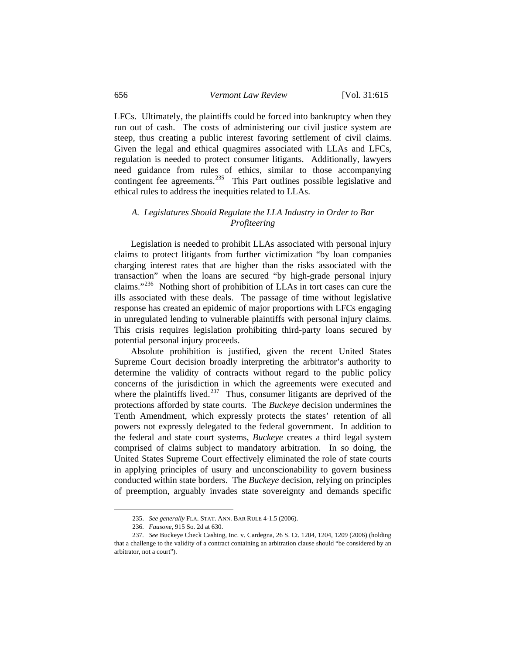LFCs. Ultimately, the plaintiffs could be forced into bankruptcy when they run out of cash. The costs of administering our civil justice system are steep, thus creating a public interest favoring settlement of civil claims. Given the legal and ethical quagmires associated with LLAs and LFCs, regulation is needed to protect consumer litigants. Additionally, lawyers need guidance from rules of ethics, similar to those accompanying contingent fee agreements.<sup>[235](#page-41-0)</sup> This Part outlines possible legislative and ethical rules to address the inequities related to LLAs.

# *A. Legislatures Should Regulate the LLA Industry in Order to Bar Profiteering*

 Legislation is needed to prohibit LLAs associated with personal injury claims to protect litigants from further victimization "by loan companies charging interest rates that are higher than the risks associated with the transaction" when the loans are secured "by high-grade personal injury claims."[236](#page-41-1) Nothing short of prohibition of LLAs in tort cases can cure the ills associated with these deals. The passage of time without legislative response has created an epidemic of major proportions with LFCs engaging in unregulated lending to vulnerable plaintiffs with personal injury claims. This crisis requires legislation prohibiting third-party loans secured by potential personal injury proceeds.

 Absolute prohibition is justified, given the recent United States Supreme Court decision broadly interpreting the arbitrator's authority to determine the validity of contracts without regard to the public policy concerns of the jurisdiction in which the agreements were executed and where the plaintiffs lived.<sup>[237](#page-41-2)</sup> Thus, consumer litigants are deprived of the protections afforded by state courts. The *Buckeye* decision undermines the Tenth Amendment, which expressly protects the states' retention of all powers not expressly delegated to the federal government. In addition to the federal and state court systems, *Buckeye* creates a third legal system comprised of claims subject to mandatory arbitration. In so doing, the United States Supreme Court effectively eliminated the role of state courts in applying principles of usury and unconscionability to govern business conducted within state borders. The *Buckeye* decision, relying on principles of preemption, arguably invades state sovereignty and demands specific

 <sup>235.</sup> *See generally* FLA. STAT. ANN. BAR RULE 4-1.5 (2006).

 <sup>236.</sup> *Fausone*, 915 So. 2d at 630.

<span id="page-41-2"></span><span id="page-41-1"></span><span id="page-41-0"></span> <sup>237.</sup> *See* Buckeye Check Cashing, Inc. v. Cardegna, 26 S. Ct. 1204, 1204, 1209 (2006) (holding that a challenge to the validity of a contract containing an arbitration clause should "be considered by an arbitrator, not a court").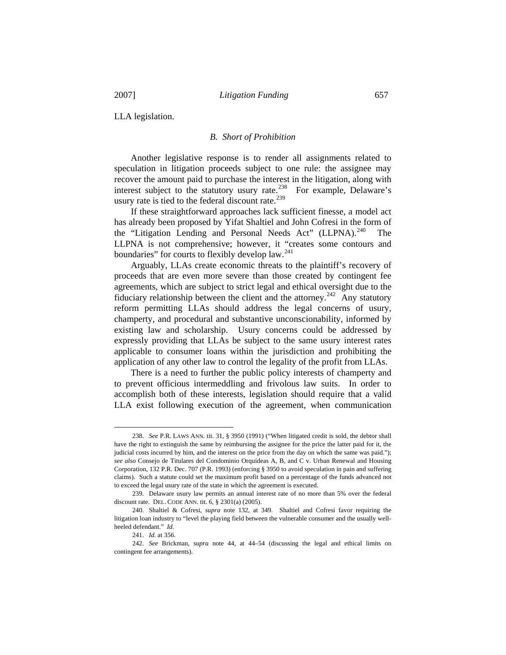LLA legislation.

## *B. Short of Prohibition*

 Another legislative response is to render all assignments related to speculation in litigation proceeds subject to one rule: the assignee may recover the amount paid to purchase the interest in the litigation, along with interest subject to the statutory usury rate.<sup>[238](#page-42-0)</sup> For example, Delaware's usury rate is tied to the federal discount rate.<sup>[239](#page-42-1)</sup>

 If these straightforward approaches lack sufficient finesse, a model act has already been proposed by Yifat Shaltiel and John Cofresi in the form of the "Litigation Lending and Personal Needs Act" (LLPNA).<sup>[240](#page-42-2)</sup> The LLPNA is not comprehensive; however, it "creates some contours and boundaries" for courts to flexibly develop law. $^{241}$  $^{241}$  $^{241}$ 

 Arguably, LLAs create economic threats to the plaintiff's recovery of proceeds that are even more severe than those created by contingent fee agreements, which are subject to strict legal and ethical oversight due to the fiduciary relationship between the client and the attorney.<sup>[242](#page-42-4)</sup> Any statutory reform permitting LLAs should address the legal concerns of usury, champerty, and procedural and substantive unconscionability, informed by existing law and scholarship. Usury concerns could be addressed by expressly providing that LLAs be subject to the same usury interest rates applicable to consumer loans within the jurisdiction and prohibiting the application of any other law to control the legality of the profit from LLAs.

 There is a need to further the public policy interests of champerty and to prevent officious intermeddling and frivolous law suits. In order to accomplish both of these interests, legislation should require that a valid LLA exist following execution of the agreement, when communication

 $\overline{\phantom{a}}$ 

<span id="page-42-0"></span> <sup>238.</sup> *See* P.R. LAWS ANN. tit. 31, § 3950 (1991) ("When litigated credit is sold, the debtor shall have the right to extinguish the same by reimbursing the assignee for the price the latter paid for it, the judicial costs incurred by him, and the interest on the price from the day on which the same was paid."); *see also* Consejo de Titulares del Condominio Orquídeas A, B, and C v. Urban Renewal and Housing Corporation, 132 P.R. Dec. 707 (P.R. 1993) (enforcing § 3950 to avoid speculation in pain and suffering claims). Such a statute could set the maximum profit based on a percentage of the funds advanced not to exceed the legal usury rate of the state in which the agreement is executed.

<span id="page-42-1"></span> <sup>239.</sup> Delaware usury law permits an annual interest rate of no more than 5% over the federal discount rate. DEL. CODE ANN. tit. 6, § 2301(a) (2005).

<span id="page-42-2"></span> <sup>240.</sup> Shaltiel & Cofresi, *supra* note 132, at 349. Shaltiel and Cofresi favor requiring the litigation loan industry to "level the playing field between the vulnerable consumer and the usually wellheeled defendant." *Id.*

 <sup>241.</sup> *Id.* at 356.

<span id="page-42-4"></span><span id="page-42-3"></span> <sup>242.</sup> *See* Brickman, *supra* note 44, at 44–54 (discussing the legal and ethical limits on contingent fee arrangements).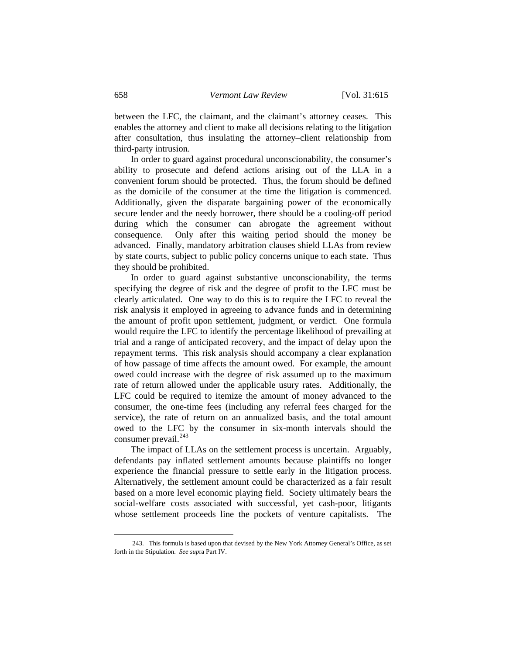between the LFC, the claimant, and the claimant's attorney ceases. This enables the attorney and client to make all decisions relating to the litigation after consultation, thus insulating the attorney–client relationship from third-party intrusion.

 In order to guard against procedural unconscionability, the consumer's ability to prosecute and defend actions arising out of the LLA in a convenient forum should be protected. Thus, the forum should be defined as the domicile of the consumer at the time the litigation is commenced. Additionally, given the disparate bargaining power of the economically secure lender and the needy borrower, there should be a cooling-off period during which the consumer can abrogate the agreement without consequence. Only after this waiting period should the money be advanced. Finally, mandatory arbitration clauses shield LLAs from review by state courts, subject to public policy concerns unique to each state. Thus they should be prohibited.

 In order to guard against substantive unconscionability, the terms specifying the degree of risk and the degree of profit to the LFC must be clearly articulated. One way to do this is to require the LFC to reveal the risk analysis it employed in agreeing to advance funds and in determining the amount of profit upon settlement, judgment, or verdict. One formula would require the LFC to identify the percentage likelihood of prevailing at trial and a range of anticipated recovery, and the impact of delay upon the repayment terms. This risk analysis should accompany a clear explanation of how passage of time affects the amount owed. For example, the amount owed could increase with the degree of risk assumed up to the maximum rate of return allowed under the applicable usury rates. Additionally, the LFC could be required to itemize the amount of money advanced to the consumer, the one-time fees (including any referral fees charged for the service), the rate of return on an annualized basis, and the total amount owed to the LFC by the consumer in six-month intervals should the consumer prevail.<sup>[243](#page-43-0)</sup>

 The impact of LLAs on the settlement process is uncertain. Arguably, defendants pay inflated settlement amounts because plaintiffs no longer experience the financial pressure to settle early in the litigation process. Alternatively, the settlement amount could be characterized as a fair result based on a more level economic playing field. Society ultimately bears the social-welfare costs associated with successful, yet cash-poor, litigants whose settlement proceeds line the pockets of venture capitalists. The

<span id="page-43-0"></span> <sup>243.</sup> This formula is based upon that devised by the New York Attorney General's Office, as set forth in the Stipulation. *See sup*ra Part IV.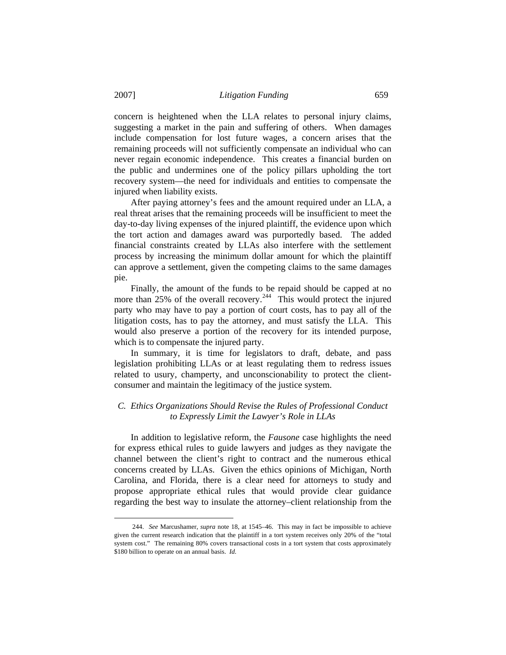concern is heightened when the LLA relates to personal injury claims, suggesting a market in the pain and suffering of others. When damages include compensation for lost future wages, a concern arises that the remaining proceeds will not sufficiently compensate an individual who can never regain economic independence. This creates a financial burden on the public and undermines one of the policy pillars upholding the tort recovery system—the need for individuals and entities to compensate the injured when liability exists.

 After paying attorney's fees and the amount required under an LLA, a real threat arises that the remaining proceeds will be insufficient to meet the day-to-day living expenses of the injured plaintiff, the evidence upon which the tort action and damages award was purportedly based. The added financial constraints created by LLAs also interfere with the settlement process by increasing the minimum dollar amount for which the plaintiff can approve a settlement, given the competing claims to the same damages pie.

 Finally, the amount of the funds to be repaid should be capped at no more than  $25\%$  of the overall recovery.<sup>[244](#page-44-0)</sup> This would protect the injured party who may have to pay a portion of court costs, has to pay all of the litigation costs, has to pay the attorney, and must satisfy the LLA. This would also preserve a portion of the recovery for its intended purpose, which is to compensate the injured party.

 In summary, it is time for legislators to draft, debate, and pass legislation prohibiting LLAs or at least regulating them to redress issues related to usury, champerty, and unconscionability to protect the clientconsumer and maintain the legitimacy of the justice system.

# *C. Ethics Organizations Should Revise the Rules of Professional Conduct to Expressly Limit the Lawyer's Role in LLAs*

 In addition to legislative reform, the *Fausone* case highlights the need for express ethical rules to guide lawyers and judges as they navigate the channel between the client's right to contract and the numerous ethical concerns created by LLAs. Given the ethics opinions of Michigan, North Carolina, and Florida, there is a clear need for attorneys to study and propose appropriate ethical rules that would provide clear guidance regarding the best way to insulate the attorney–client relationship from the

<span id="page-44-0"></span> <sup>244.</sup> *See* Marcushamer, *supra* note 18, at 1545–46. This may in fact be impossible to achieve given the current research indication that the plaintiff in a tort system receives only 20% of the "total system cost." The remaining 80% covers transactional costs in a tort system that costs approximately \$180 billion to operate on an annual basis. *Id.*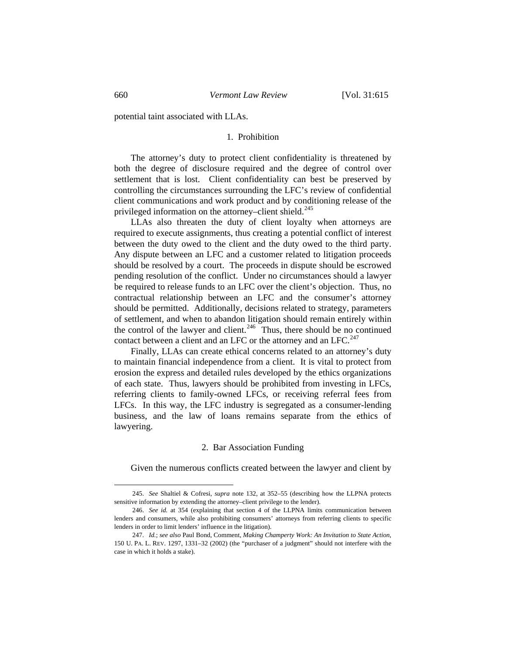potential taint associated with LLAs.

# 1. Prohibition

 The attorney's duty to protect client confidentiality is threatened by both the degree of disclosure required and the degree of control over settlement that is lost. Client confidentiality can best be preserved by controlling the circumstances surrounding the LFC's review of confidential client communications and work product and by conditioning release of the privileged information on the attorney–client shield.<sup>[245](#page-45-0)</sup>

 LLAs also threaten the duty of client loyalty when attorneys are required to execute assignments, thus creating a potential conflict of interest between the duty owed to the client and the duty owed to the third party. Any dispute between an LFC and a customer related to litigation proceeds should be resolved by a court. The proceeds in dispute should be escrowed pending resolution of the conflict. Under no circumstances should a lawyer be required to release funds to an LFC over the client's objection. Thus, no contractual relationship between an LFC and the consumer's attorney should be permitted. Additionally, decisions related to strategy, parameters of settlement, and when to abandon litigation should remain entirely within the control of the lawyer and client.<sup>[246](#page-45-1)</sup> Thus, there should be no continued contact between a client and an LFC or the attorney and an LFC.<sup>[247](#page-45-2)</sup>

 Finally, LLAs can create ethical concerns related to an attorney's duty to maintain financial independence from a client. It is vital to protect from erosion the express and detailed rules developed by the ethics organizations of each state. Thus, lawyers should be prohibited from investing in LFCs, referring clients to family-owned LFCs, or receiving referral fees from LFCs. In this way, the LFC industry is segregated as a consumer-lending business, and the law of loans remains separate from the ethics of lawyering.

#### 2. Bar Association Funding

Given the numerous conflicts created between the lawyer and client by

<span id="page-45-0"></span> <sup>245.</sup> *See* Shaltiel & Cofresi, *supra* note 132, at 352–55 (describing how the LLPNA protects sensitive information by extending the attorney–client privilege to the lender).

<span id="page-45-1"></span> <sup>246.</sup> *See id.* at 354 (explaining that section 4 of the LLPNA limits communication between lenders and consumers, while also prohibiting consumers' attorneys from referring clients to specific lenders in order to limit lenders' influence in the litigation).

<span id="page-45-2"></span> <sup>247.</sup> *Id.*; *see also* Paul Bond, Comment, *Making Champerty Work: An Invitation to State Action*, 150 U. PA. L. REV. 1297, 1331–32 (2002) (the "purchaser of a judgment" should not interfere with the case in which it holds a stake).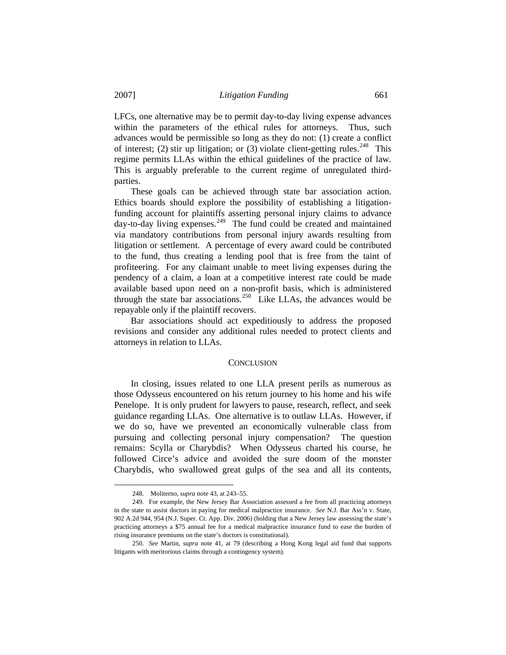LFCs, one alternative may be to permit day-to-day living expense advances within the parameters of the ethical rules for attorneys. Thus, such advances would be permissible so long as they do not: (1) create a conflict of interest; (2) stir up litigation; or (3) violate client-getting rules.<sup>[248](#page-46-0)</sup> This regime permits LLAs within the ethical guidelines of the practice of law. This is arguably preferable to the current regime of unregulated thirdparties.

 These goals can be achieved through state bar association action. Ethics boards should explore the possibility of establishing a litigationfunding account for plaintiffs asserting personal injury claims to advance  $d$ ay-to-day living expenses.<sup>[249](#page-46-1)</sup> The fund could be created and maintained via mandatory contributions from personal injury awards resulting from litigation or settlement. A percentage of every award could be contributed to the fund, thus creating a lending pool that is free from the taint of profiteering. For any claimant unable to meet living expenses during the pendency of a claim, a loan at a competitive interest rate could be made available based upon need on a non-profit basis, which is administered through the state bar associations.<sup>[250](#page-46-2)</sup> Like LLAs, the advances would be repayable only if the plaintiff recovers.

 Bar associations should act expeditiously to address the proposed revisions and consider any additional rules needed to protect clients and attorneys in relation to LLAs.

### **CONCLUSION**

 In closing, issues related to one LLA present perils as numerous as those Odysseus encountered on his return journey to his home and his wife Penelope. It is only prudent for lawyers to pause, research, reflect, and seek guidance regarding LLAs. One alternative is to outlaw LLAs. However, if we do so, have we prevented an economically vulnerable class from pursuing and collecting personal injury compensation? The question remains: Scylla or Charybdis? When Odysseus charted his course, he followed Circe's advice and avoided the sure doom of the monster Charybdis, who swallowed great gulps of the sea and all its contents,

 <sup>248.</sup> Moliterno, *supra* note 43, at 243–55.

<span id="page-46-1"></span><span id="page-46-0"></span> <sup>249.</sup> For example, the New Jersey Bar Association assessed a fee from all practicing attorneys in the state to assist doctors in paying for medical malpractice insurance. *See* [N.J. Bar Ass'n v. State,](http://web2.westlaw.com/find/default.wl?rp=%2ffind%2fdefault.wl&vc=0&DB=0000999&SerialNum=2009613973&FindType=Y&AP=&fn=_top&rs=WLW7.02&mt=LawSchoolPractitioner&vr=2.0&sv=Split)  [902 A.2d 944, 954 \(N.J. Super. Ct. App. Div. 2006\)](http://web2.westlaw.com/find/default.wl?rp=%2ffind%2fdefault.wl&vc=0&DB=0000999&SerialNum=2009613973&FindType=Y&AP=&fn=_top&rs=WLW7.02&mt=LawSchoolPractitioner&vr=2.0&sv=Split) (holding that a New Jersey law assessing the state's practicing attorneys a \$75 annual fee for a medical malpractice insurance fund to ease the burden of rising insurance premiums on the state's doctors is constitutional).

<span id="page-46-2"></span> <sup>250.</sup> *See* Martin, *supra* note 41, at 79 (describing a Hong Kong legal aid fund that supports litigants with meritorious claims through a contingency system).